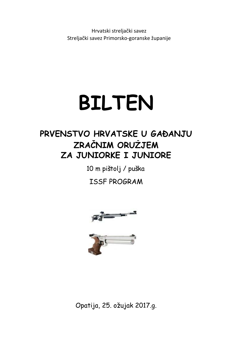Hrvatski streljački savez Streljački savez Primorsko‐goranske županije

# **BILTEN**

# **PRVENSTVO HRVATSKE U GAĐANJU ZRAČNIM ORUŽJEM ZA JUNIORKE I JUNIORE**

10 m pištolj / puška

ISSF PROGRAM





Opatija, 25. ožujak 2017.g.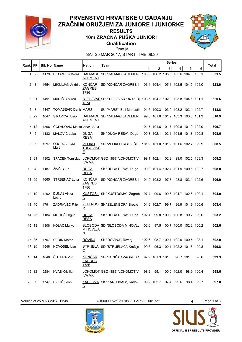

#### **Qualification 10m ZRAČNA PUŠKA JUNIORI RESULTS**



SAT 25 MAR 2017, START TIME 08:30 Opatija

| <b>Rank  FP</b> |              | <b>Bib No   Name</b> |                          | <b>Nation</b>                          | Team                                                                            |                                     |      | <b>Series</b>    |                                     |                  |      | Total |
|-----------------|--------------|----------------------|--------------------------|----------------------------------------|---------------------------------------------------------------------------------|-------------------------------------|------|------------------|-------------------------------------|------------------|------|-------|
|                 |              |                      |                          |                                        |                                                                                 | 1                                   | 2    | 3                | 4                                   | 5                | 6    |       |
|                 | $1\quad 2$   | 1179                 | <b>PETANJEK Borna</b>    | <b>ACEMENT</b>                         | DALMACIJ SD "DALMACIJACEMEN 105.0 106.2 105.6 105.6 104.0 105.1                 |                                     |      |                  |                                     |                  |      | 631.5 |
|                 | 28           | 1654                 |                          | <b>ZAGREB</b><br>1786                  | MIKULJAN Andrija KONČAR SD "KONČAR ZAGREB 1 103.4 104.4 105.1 102.5 104.5 104.0 |                                     |      |                  |                                     |                  |      | 623.9 |
|                 | 3 21         | 1491                 | MARIČIĆ Miran            | 1874                                   | BJELOVARSD "BJELOVAR 1874", Bj 103.5 104.7 102.9 103.8 104.6 101.1              |                                     |      |                  |                                     |                  |      | 620.6 |
| 4               | 8            | 1147                 | TOMAŠEVIĆ Denis MARS     |                                        | SU "MARS", Beli Manastir 101.5 100.3 103.0 103.2 103.1 102.7                    |                                     |      |                  |                                     |                  |      | 613.8 |
|                 | 5 22         | 1047                 | SIKAVICA Josip           | <b>ACEMENT</b>                         | DALMACIJ SD "DALMACIJACEMEN                                                     |                                     |      |                  | 99.8 101.6 101.9 103.3 103.0 101.3  |                  |      | 610.9 |
|                 | 6 12         | 1566                 | ČOLAKOVIĆ Matko VINKOVCI |                                        |                                                                                 |                                     |      |                  | 101.7 101.6 101.7 100.8 101.9 102.0 |                  |      | 609.7 |
| $\mathbf{7}$    | -5           | 1182                 | MALOVIĆ Luka             | <b>DUGA</b><br><b>RESA</b>             | SK "DUGA RESA", Duga                                                            | 100.3 102.1 102.1 101.5 101.8 100.8 |      |                  |                                     |                  |      | 608.6 |
|                 | 8 39         | 1397                 | OBOROVEČKI<br>Martin     | <b>VELIKO</b><br><u>TRGOVIŠĆ</u><br>Е  | SD "VELIKO TRGOVIŠĆ                                                             |                                     |      |                  | 101.9 101.0 101.9 101.6 102.2 99.9  |                  |      | 608.5 |
|                 | 9 31         | 1302                 |                          | <b>IVA VK</b>                          | ŠPAČEK Tomislav LOKOMOT GSD 1887 "LOKOMOTIV                                     |                                     |      |                  | 99.1 102.1 102.2 99.0 102.5 103.3   |                  |      | 608.2 |
|                 | $10 \quad 4$ | 1187                 | ŽIVČIĆ Tin               | <b>DUGA</b><br><b>RESA</b>             | SK "DUGA RESA", Duga                                                            |                                     |      |                  | 99.0 101.4 102.4 101.9 100.6 102.7  |                  |      | 608.0 |
|                 | 11 29        | 1665                 | ŠTRBENAC Luka            | <b>KONČAR</b><br><b>ZAGREB</b><br>1786 | SD "KONČAR ZAGREB 1 101.9 103.2 97.3                                            |                                     |      |                  |                                     | 98.8 103.1 102.6 |      | 606.9 |
|                 | 12 10        | 1202                 | DUNAJ Viktor<br>Lovro    | A                                      | KUSTOŠIJ SK "KUSTOŠIJA", Zagreb                                                 | 97.4                                | 99.6 |                  | 99.6 104.7 102.6 100.1              |                  |      | 604.0 |
|                 | 13 40        | 1791                 | <b>ZADRAVEC Filip</b>    | $\mathbf R$                            | ZELENBO SK "ZELENBOR", Brezje                                                   | 101.6 102.7                         |      | 99.7             |                                     | 96.9 101.9 100.6 |      | 603.4 |
|                 | 14 25        | 1184                 | MOGUŠ Grgur              | <b>DUGA</b><br><b>RESA</b>             | SK "DUGA RESA", Duga                                                            | 102.4                               |      | 99.8 100.9 100.8 |                                     | 99.7             | 99.6 | 603.2 |
|                 | 15 18        | 1308                 | <b>KOLAC Marko</b>       | <b>MIHOVLJA</b><br>N                   | SLOBODA SD "SLOBODA MIHOVLJ 102.0                                               |                                     |      |                  | 97.5 100.7 100.0 102.2 100.2        |                  |      | 602.6 |
|                 | 16 35        |                      | 1757 CERIN Mateo         | <b>ROVINJ</b>                          | SK "ROVINJ", Rovinj                                                             | 102.6                               |      |                  | 98.7 100.1 102.0 100.5 98.1         |                  |      | 602.0 |
|                 | 17 19        |                      | 1548 NOVOSEL Ivan        | $\overline{c}$                         | STRIJELA SD "STRIJELAC", Krušlje                                                |                                     |      |                  | 99.6 96.3 100.1 102.2 101.8 99.8    |                  |      | 599.8 |
|                 | 18 14        |                      | 1640 ČUTURA Vito         | <b>ZAGREB</b><br>1786                  | KONČAR SD "KONČAR ZAGREB 1                                                      |                                     |      |                  | 97.9 101.3 101.8 98.7 101.0 98.6    |                  |      | 599.3 |
|                 | 19 32        |                      | 2284 KVAS Kristijan      | <u>IVA VK</u>                          | LOKOMOT GSD 1887 "LOKOMOTIV                                                     |                                     |      |                  | 98.2 99.1 100.0 102.0 98.9 100.4    |                  |      | 598.6 |
|                 | 20 7         |                      | 1747 SVILIĆ Leon         | ⊵                                      | KARLOVA SK "KARLOVAC", Karlov                                                   |                                     |      |                  | 99.2 102.7 97.4 99.6                | 98.4             | 99.7 | 597.0 |

Version of 25 MAR 2017, 11:38 Q100000IA2503170830.1.AR60.0.001.pdf 4 Page 1 of 3





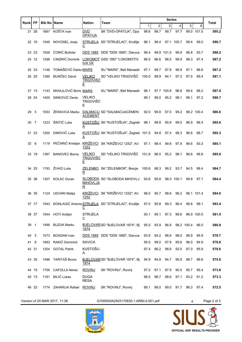|       | <b>FP</b> | <b>Bib No Name</b> |                       | Nation                                | Team                                                                  |       |                | <b>Series</b> |            |                 |            | Total |
|-------|-----------|--------------------|-----------------------|---------------------------------------|-----------------------------------------------------------------------|-------|----------------|---------------|------------|-----------------|------------|-------|
| Rankl |           |                    |                       |                                       |                                                                       | 1     | $\overline{c}$ | 3             | 4          | 5               | 6          |       |
|       | 21 28     | 1687               | KOŠTA Ivan            | <b>DVD</b><br><b>OPATIJA</b>          | SK "DVD-OPATIJA", Opa                                                 | 98.6  | 98.7           | 99.7          | 97.7       |                 | 99.0 101.5 | 595.2 |
|       | 22 10     | 1549               | NOVOSEL Josip         | $\overline{c}$                        | STRIJELA SD "STRIJELAC", Krušlje                                      | 96.1  | 98.4           |               | 97.1 100.7 | 99.4            | 99.0       | 590.7 |
|       | 23 23     | 1058               | ĆORIĆ Božidar         |                                       | DDS 1885 DDS "DDS 1885", Daruva                                       | 98.4  |                | 98.9 101.5    | 98.9       | 96.8            | 93.7       | 588.2 |
|       | 24 12     | 1298               | CINDRIĆ Dominik       | <b>IVA VK</b>                         | LOKOMOT GSD 1887 "LOKOMOTIV                                           | 96.5  | 96.6           | 98.5          | 99.9       | 98.3            | 97.4       | 587.2 |
|       | 25 33     | 1146               | TOMAŠEVIĆ Darko MARS  |                                       | SU "MARS", Beli Manastir                                              | 97.1  | 99.7           | 97.8          | 98.9       | 97.1            | 96.6       | 587.2 |
|       | 26 20     | 1390               | <b>BUNČEC David</b>   | <b>VELIKO</b><br><u>TRGOVIŠĆ</u><br>E | SD "VELIKO TRGOVIŠĆ                                                   | 100.0 | 98.9           | 94.1          | 97.2       | 97.5            | 99.4       | 587.1 |
|       | 27 13     | 1143               | MIHAJLOVIĆ Boris MARS |                                       | SU "MARS", Beli Manastir                                              | 96.1  |                | 97.7 100.8    | 96.8       | 99.4            | 96.2       | 587.0 |
|       | 28 24     | 1400               | SINKOVIĆ Denis        | <b>VELIKO</b><br><b>TRGOVIŠĆ</b><br>E |                                                                       | 99.1  | 98.0           | 95.2          | 98.1       | 99.1            | 97.2       | 586.7 |
| 29    | 3         | 1053               | ŽERAVICA Marko        | <b>ACEMENT</b>                        | DALMACIJ SD "DALMACIJACEMEN                                           | 92.0  | 99.8           | 97.0          | 99.2       |                 | 98.2 100.4 | 586.6 |
| 30    | 7         | 1223               | ŠINTIĆ Luka           | A                                     | KUSTOŠIJ SK "KUSTOŠIJA", Zagreb                                       | 98.1  | 98.8           | 95.9          | 99.5       | 96.9            | 96.4       | 585.6 |
|       | 31 23     | 1200               | DIMOVIĆ Luka          | A                                     | KUSTOŠIJ SK "KUSTOŠIJA", Zagreb 101.5                                 |       | 94.8           | 97.4          | 98.3       | 96.6            | 96.7       | 585.3 |
| 32    | 9         | 1119               | PEČARIĆ Kristijan     | 1252                                  | KRIŽEVCI SK "KRIŽEVCI 1252", Kri                                      | 97.1  | 98.4           | 99.8          | 97.9       | 98.6            | 93.3       | 585.1 |
|       | 33 19     | 1387               | <b>BANOVEC Borna</b>  | VELIKO<br><b>TRGOVIŠĆ</b><br>Е        | SD "VELIKO TRGOVIŠĆ                                                   | 101.8 | 96.5           | 95.2          | 98.1       | 96.6            | 96.8       | 585.0 |
|       | 34 25     | 1793               | ŽIVKO Luka            | R                                     | ZELENBO SK "ZELENBOR", Brezje                                         | 100.6 | 98.3           | 99.2          | 93.7       | 94.5            | 98.4       | 584.7 |
|       | 35 36     | 1307               | <b>KOLAC Goran</b>    | <b>MIHOVLJA</b><br>N                  | SLOBODA SD "SLOBODA MIHOVLJ                                           | 93.6  | 95.8           |               | 98.0 100.1 | 99.8            | 97.1       | 584.4 |
|       | 36 30     |                    | 1124 UDVARI Matija    | 1252                                  | KRIŽEVCI SK "KRIŽEVCI 1252", Kri                                      | 96.0  | 95.7           | 98.6          | 96.2       |                 | 96.1 101.4 | 584.0 |
|       | 37 17     |                    |                       | $\overline{c}$                        | 1543 ĐONLAGIĆ Antonio STRIJELA SD "STRIJELAC", Krušlje 97.0 95.8 99.3 |       |                |               | 96.4       |                 | 98.8 96.1  | 583.4 |
|       | 38 37     |                    | 1544 HOTI Ardijan     | <b>STRIJELA</b><br>С                  |                                                                       | 93.1  | 95.1           | 97.3          | 98.6       |                 | 96.9 100.5 | 581.5 |
| 39 1  |           |                    | 1486 BUZUK Marko      | 1874                                  | BJELOVARSD "BJELOVAR 1874", Bi 95.5 93.9                              |       |                | 96.8          |            | 98.2 100.4 96.0 |            | 580.8 |
| 40    | 3         | 1073               | <b>BOGDAN</b> Ivan    |                                       | DDS 1885 DDS "DDS 1885", Daruva                                       | 93.9  | 94.2           | 98.8          | 98.0       | 98.9            | 95.9       | 579.7 |
| 41 9  |           | 1893               | RAKIĆ Dominick        | <b>SAVICA</b>                         |                                                                       | 95.5  | 99.0           | 97.8          | 95.6       | 96.0            | 94.9       | 578.8 |
|       | 42 31     |                    | 1204 GOTAL Patrik     | <b>KUSTOŠIJ</b><br>A                  |                                                                       | 97.4  | 96.2           | 98.6          | 93.5       | 97.0            | 95.9       | 578.6 |
|       | 43 35     | 1496               | TARITAŠ Bruno         | 1874                                  | BJELOVAR SD "BJELOVAR 1874", Bj                                       | 94.9  | 94.9           | 94.7          | 95.8       | 98.7            | 96.6       | 575.6 |
|       | 44 15     | 1756               | <b>CAFOLLA Nereo</b>  | <b>ROVINJ</b>                         | SK "ROVINJ", Rovinj                                                   | 97.2  | 97.1           | 97.9          | 90.5       | 95.7            | 95.4       | 573.8 |
|       | 45 13     | 1181               | <b>BILIĆ Lukas</b>    | <b>DUGA</b><br><b>RESA</b>            |                                                                       | 96.5  | 96.7           | 98.6          | 97.1       | 93.2            | 91.2       | 573.3 |
|       | 46 32     |                    | 1774 ZAHARIJA Rafael  | <b>ROVINJ</b>                         | SK "ROVINJ", Rovinj                                                   | 89.1  | 99.0           |               | 99.0 91.7  |                 | 96.3 97.4  | 572.5 |

Version of 25 MAR 2017, 11:38 Q100000IA2503170830.1.AR60.0.001.pdf 4 Page 2 of 3



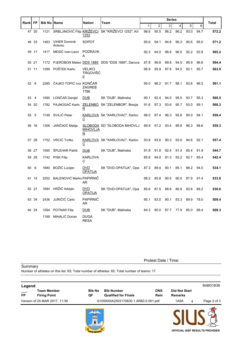|      |           |                    |                                 |                              | Team                                               |              |                | <b>Series</b> |      |      |      |       |
|------|-----------|--------------------|---------------------------------|------------------------------|----------------------------------------------------|--------------|----------------|---------------|------|------|------|-------|
| Rank | <b>FP</b> | <b>Bib No Name</b> |                                 | <b>Nation</b>                |                                                    | $\mathbf{1}$ | $\overline{2}$ | 3             | 4    | 5    | 6    | Total |
|      | 47 30     | 1121               |                                 | 1252                         | SRBLJINOVIĆ Filip KRIŽEVCI SK "KRIŽEVCI 1252", Kri | 96.6         | 95.5           | 96.2          | 96.2 | 93.0 | 94.7 | 572.2 |
|      | 48 33     | 1483               | <b>VIHER Dominik</b><br>Antonio | SOPOT                        |                                                    | 95.6         | 94.1           | 94.6          | 96.3 | 95.6 | 95.0 | 571.2 |
|      | 49 17     | 1417               | MESIĆ Ivan-Leon                 | <b>PODRAVK</b><br>А          |                                                    | 92.3         | 94.0           | 96.8          | 96.0 | 92.2 | 93.9 | 565.2 |
|      | 50 21     | 1172               |                                 |                              | PJEROBON Mateo DDS 1885 DDS "DDS 1885", Daruva     | 87.8         | 99.8           | 89.8          | 94.5 | 95.9 | 96.6 | 564.4 |
|      | 51 11     | 1399               | POŠTEK Karlo                    | VELIKO<br>TRGOVIŠĆ<br>Е      |                                                    | 96.9         | 95.9           | 87.8          | 94.5 | 93.1 | 95.7 | 563.9 |
| 52 6 |           | 2285               | ČAJKO TOPIĆ Ivor KONČAR         | <b>ZAGREB</b><br>1786        |                                                    | 95.0         | 96.2           | 91.7          | 88.1 | 93.6 | 96.5 | 561.1 |
| 53   | -4        | 1590               | LONČAR Danijel                  | <b>DUB</b>                   | SK "DUB", Malinska                                 | 90.1         | 92.4           | 94.0          | 95.0 | 93.7 | 95.3 | 560.5 |
|      | 54 20     | 1782               | PAJNOGAČ Karlo                  | <u>R</u>                     | ZELENBO SK "ZELENBOR", Brezje                      | 91.6         | 97.3           | 93.6          | 95.7 | 93.0 | 89.1 | 560.3 |
| 55   | 5         | 1748               | SVILIĆ Petar                    | С                            | KARLOVA SK "KARLOVAC", Karlov                      | 96.0         | 87.4           | 96.3          | 95.6 | 90.0 | 94.1 | 559.4 |
| 56   | - 16      | 1306               | JANČIKIĆ Matija                 | <b>MIHOVLJA</b><br>N         | <b>SLOBODA SD "SLOBODA MIHOVLJ</b>                 | 89.9         | 91.2           | 93.4          | 89.9 | 96.3 | 98.6 | 559.3 |
|      | 57 28     |                    | 1752 VRCIĆ Tvrtko               | С                            | KARLOVA SK "KARLOVAC", Karlov                      | 93.8         | 93.6           | 90.3          | 93.0 | 94.6 | 92.1 | 557.4 |
|      | 58 27     | 1595               | <b>ŠPLEHAR Patrik</b>           | <b>DUB</b>                   | SK "DUB", Malinska                                 | 91.8         | 91.8           | 92.4          | 91.4 | 85.4 | 91.9 | 544.7 |
|      | 59 29     | 1742               | <b>PISK Filip</b>               | <b>KARLOVA</b><br>C          |                                                    | 85.8         | 94.0           | 91.3          | 93.2 | 92.7 | 85.4 | 542.4 |
| 60   | 6         | 1680               | BOŽIĆ Lucijan                   | <b>DVD</b><br><b>OPATIJA</b> | SK "DVD-OPATIJA", Opa                              | 87.3         | 89.4           | 90.1          | 85.1 | 88.2 | 94.0 | 534.1 |
|      | 61 14     | 2252               | BALENOVIĆ Marko PAPIRNIČ        | AR.                          |                                                    | 88.2         | 85.8           | 90.5          | 90.0 | 87.9 | 91.4 | 533.8 |
|      | 62 27     | 1684               | HRŽIĆ Adrijan                   | <b>DVD</b><br><b>OPATIJA</b> | SK "DVD-OPATIJA", Opa                              | 85.6         | 87.5           | 88.8          | 86.9 | 93.6 | 88.2 | 530.6 |
|      | 63 34     | 2436               | JURIČIĆ Carlo                   | PAPIRNIČ<br>AR.              |                                                    | 85.1         | 83.0           | 90.1          | 83.3 | 89.9 | 78.0 | 509.4 |
|      | 64 24     | 1594               | <b>POTNAR Filip</b>             | DUB                          | SK "DUB", Malinska                                 | 84.3         | 85.0           | 87.7          | 77.9 | 85.0 | 88.4 | 508.3 |
|      |           | 1189               | MIHALIĆ Dorian                  | <b>DUGA</b><br><b>RESA</b>   |                                                    |              |                |               |      |      |      |       |

Protest Date / Time:

**Summary** 

Number of athletes on this list: 65; Total number of athletes: 65; Total number of teams: 17

| Legend          |                                           |                     |                                                  |                   |                                        | BABD1B3B                       |
|-----------------|-------------------------------------------|---------------------|--------------------------------------------------|-------------------|----------------------------------------|--------------------------------|
| $\overline{FP}$ | <b>Team Member</b><br><b>Firing Point</b> | <b>Bib No</b><br>QF | <b>Bib Number</b><br><b>Qualified for Finals</b> | <b>DNS</b><br>Rem | <b>Did Not Start</b><br><b>Remarks</b> |                                |
|                 | Version of 25 MAR 2017, 11:38             |                     | Q100000IA2503170830.1.AR60.0.001.pdf             |                   | 1A9A<br>4                              | Page 3 of 3                    |
|                 |                                           | -111                |                                                  |                   |                                        | OFFICIAL ISSF RESULTS PROVIDER |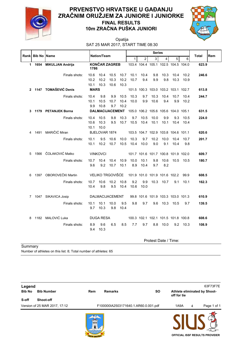

#### **10m ZRAČNA PUŠKA JUNIORI PRVENSTVO HRVATSKE U GAĐANJU ZRAČNIM ORUŽJEM ZA JUNIORE I JUNIORKE FINAL RESULTS**



# Opatija

SAT 25 MAR 2017, START TIME 08:30

|                | Rank Bib No Name |                         | Nation/Team                                                                |                      |                        | <b>Series</b>        |                                     |                                     |                      |              |              | <b>Total</b> | Rem   |  |
|----------------|------------------|-------------------------|----------------------------------------------------------------------------|----------------------|------------------------|----------------------|-------------------------------------|-------------------------------------|----------------------|--------------|--------------|--------------|-------|--|
|                |                  |                         |                                                                            |                      |                        |                      | $\mathbf{1}$                        | $\overline{2}$                      | 3                    | 4            | 5            | 6            |       |  |
| $\mathbf 1$    | 1654             | <b>MIKULJAN Andrija</b> | 1786                                                                       |                      | <b>KONCAR ZAGREB</b>   |                      |                                     | 103.4 104.4 105.1 102.5 104.5 104.0 |                      |              |              |              | 623.9 |  |
|                |                  | Finals shots:           | 10.6<br>10.2<br>10.1                                                       | 10.4<br>10.2<br>10.3 | 10.5<br>10.3<br>10.6   | 10.7<br>10.2<br>10.3 | 10.1<br>10.7                        | 10.4<br>9.4                         | 9.8<br>9.9           | 10.3<br>9.8  | 10.4<br>10.3 | 10.2<br>10.9 | 246.6 |  |
| $\mathbf{2}$   |                  | 1147 TOMAŠEVIĆ Denis    | <b>MARS</b>                                                                |                      |                        |                      |                                     | 101.5 100.3 103.0 103.2 103.1 102.7 |                      |              |              |              | 613.8 |  |
|                |                  | Finals shots:           | 10.4<br>10.1<br>9.9                                                        | 9.8<br>10.5<br>10.8  | 9.9<br>10.7<br>9.7     | 10.5<br>10.4<br>10.2 | 10.3<br>10.0                        | 9.7<br>9.9                          | 10.3<br>10.6         | 10.4<br>9.4  | 10.7<br>9.9  | 10.4<br>10.2 | 244.7 |  |
| 3              |                  | 1179 PETANJEK Borna     |                                                                            |                      | <b>DALMACIJACEMENT</b> |                      |                                     | 105.0 106.2 105.6 105.6 104.0 105.1 |                      |              |              |              | 631.5 |  |
|                |                  | Finals shots:           | 10.5<br>9.8<br>10.3<br>10.4<br>10.3<br>9.5<br>10.7<br>10.6<br>10.1<br>10.0 |                      |                        | 9.7<br>10.5          | 10.5<br>10.4                        | 10.0<br>10.1                        | 9.9<br>10.1          | 9.3<br>10.4  | 10.5<br>10.4 | 224.0        |       |  |
| 4              | 1491             | MARIČIĆ Miran           | <b>BJELOVAR 1874</b>                                                       |                      |                        |                      | 103.5 104.7 102.9 103.8 104.6 101.1 |                                     |                      |              |              | 620.6        |       |  |
|                |                  | Finals shots:           | 9.5<br>10.1<br>10.6<br>10.0<br>10.2<br>10.5<br>10.1<br>10.7                |                      |                        | 10.3<br>10.4         | 9.7<br>10.0                         | 10.2<br>9.0                         | 10.0<br>9.1          | 10.4<br>10.4 | 10.7<br>9.8  | 201.7        |       |  |
| 5              |                  | 1566 ČOLAKOVIĆ Matko    |                                                                            | <b>VINKOVCI</b>      |                        |                      |                                     | 101.7 101.6 101.7 100.8 101.9 102.0 |                      |              |              |              | 609.7 |  |
|                |                  | Finals shots:           | 10.7<br>9.6                                                                | 10.4<br>9.2          | 10.4<br>10.7           | 10.9<br>10.1         | 10.0<br>8.9                         | 10.1<br>10.4                        | 9.8<br>9.7           | 10.6<br>8.2  |              | 10.5 10.5    | 180.7 |  |
| 6              |                  | 1397 OBOROVEČKI Martin  |                                                                            |                      | VELIKO TRGOVIŠĆE       |                      |                                     | 101.9 101.0 101.9 101.6 102.2       |                      |              |              | 99.9         | 608.5 |  |
|                |                  | Finals shots:           | 10.7<br>10.4                                                               | 10.6<br>9.8          | 10.2<br>9.5            | 10.8<br>10.4         | 9.2<br>10.6                         | 9.9<br>10.0                         | 10.3                 | 10.7         | 9.1          | 10.1         | 162.3 |  |
| 7 <sup>7</sup> |                  | 1047 SIKAVICA Josip     |                                                                            |                      | <b>DALMACIJACEMENT</b> |                      |                                     | 99.8 101.6 101.9 103.3 103.0 101.3  |                      |              |              |              | 610.9 |  |
|                |                  | Finals shots:           | 10.1<br>9.7                                                                | 10.1<br>10.3         | 10.0<br>9.8            | 9.5<br>10.4          | 9.8                                 | 9.7                                 | 9.6                  |              | 10.3 10.5    | 9.7          | 139.5 |  |
| 8              |                  | 1182 MALOVIĆ Luka       | <b>DUGA RESA</b>                                                           |                      |                        |                      | 100.3 102.1 102.1 101.5 101.8 100.8 |                                     |                      |              |              | 608.6        |       |  |
|                |                  | Finals shots:           | 8.9<br>9.6<br>6.5<br>8.5<br>10.3<br>9.4                                    |                      |                        | 7.7                  | 9.7                                 | 8.8                                 | 10.0                 |              | $9.2$ 10.3   | 108.9        |       |  |
|                |                  |                         |                                                                            |                      |                        |                      |                                     |                                     | Protest Date / Time: |              |              |              |       |  |

**Summary** 

Number of athletes on this list: 8; Total number of athletes: 65

| Legend<br><b>Bib No</b> | <b>Bib Number</b>             | Rem | <b>Remarks</b>                       | <b>SO</b> | off for tie |   | 63F73F7E<br>Athlete eliminated by Shoot- |
|-------------------------|-------------------------------|-----|--------------------------------------|-----------|-------------|---|------------------------------------------|
| S-off                   | Shoot-off                     |     |                                      |           |             |   |                                          |
|                         | Version of 25 MAR 2017, 17:12 |     | F100000IA2503171640.1.AR60.0.001.pdf |           | 1A9A        | 4 | Page 1 of 1                              |
|                         |                               |     |                                      |           |             |   |                                          |

**OFFICIAL ISSF RESULTS PROVIDER**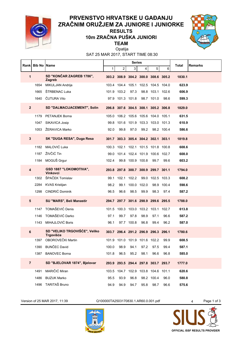

#### **TEAM 10m ZRAČNA PUŠKA JUNIORI RESULTS**



SAT 25 MAR 2017, START TIME 08:30 Opatija

|                | <b>Rankl Bib No IName</b> |                                            |              |                  | <b>Series</b>    |                                     |                  |            | Total<br><b>Remarks</b> |
|----------------|---------------------------|--------------------------------------------|--------------|------------------|------------------|-------------------------------------|------------------|------------|-------------------------|
|                |                           |                                            | $\mathbf{1}$ | 2                | 3                | 4                                   | 5                | 6          |                         |
| 1              |                           | SD "KONČAR ZAGREB 1786",<br>Zagreb         |              |                  |                  | 303.2 308.9 304.2 300.0 308.6 305.2 |                  |            | 1830.1                  |
|                | 1654                      | MIKULJAN Andrija                           |              |                  |                  | 103.4 104.4 105.1 102.5 104.5 104.0 |                  |            | 623.9                   |
|                | 1665                      | ŠTRBENAC Luka                              |              | 101.9 103.2      | 97.3             |                                     | 98.8 103.1 102.6 |            | 606.9                   |
|                | 1640                      | ČUTURA Vito                                |              | 97.9 101.3 101.8 |                  |                                     | 98.7 101.0       | 98.6       | 599.3                   |
| $\overline{2}$ |                           | <b>SD "DALMACIJACEMENT", Solin</b>         |              |                  |                  | 296.8 307.6 304.5 308.1 305.2 306.8 |                  |            | 1829.0                  |
|                |                           | 1179 PETANJEK Borna                        |              |                  |                  | 105.0 106.2 105.6 105.6 104.0 105.1 |                  |            | 631.5                   |
|                |                           | 1047 SIKAVICA Josip                        |              |                  |                  | 99.8 101.6 101.9 103.3 103.0 101.3  |                  |            | 610.9                   |
|                |                           | 1053 ŽERAVICA Marko                        | 92.0         | 99.8             | 97.0             | 99.2                                |                  | 98.2 100.4 | 586.6                   |
| 3              |                           | SK "DUGA RESA", Duga Resa                  |              |                  |                  | 301.7 303.3 305.4 304.2 302.1 303.1 |                  |            | 1819.8                  |
|                |                           | 1182 MALOVIĆ Luka                          | 100.3        |                  |                  | 102.1 102.1 101.5 101.8 100.8       |                  |            | 608.6                   |
|                | 1187                      | ŽIVČIĆ Tin                                 |              |                  |                  | 99.0 101.4 102.4 101.9 100.6 102.7  |                  |            | 608.0                   |
|                |                           | 1184 MOGUŠ Grgur                           | 102.4        |                  | 99.8 100.9 100.8 |                                     | 99.7             | 99.6       | 603.2                   |
| 4              |                           | GSD 1887 "LOKOMOTIVA",<br><b>Vinkovci</b>  |              |                  |                  | 293.8 297.8 300.7 300.9 299.7 301.1 |                  |            | 1794.0                  |
|                |                           | 1302 ŠPAČEK Tomislav                       |              | 99.1 102.1 102.2 |                  |                                     | 99.0 102.5 103.3 |            | 608.2                   |
|                |                           | 2284 KVAS Kristijan                        | 98.2         | 99.1             | 100.0 102.0      |                                     |                  | 98.9 100.4 | 598.6                   |
|                |                           | 1298 CINDRIĆ Dominik                       | 96.5         | 96.6             | 98.5             | 99.9                                | 98.3             | 97.4       | 587.2                   |
| 5              |                           | SU "MARS", Beli Manastir                   |              |                  |                  | 294.7 297.7 301.6 298.9 299.6 295.5 |                  |            | 1788.0                  |
|                |                           | 1147 TOMAŠEVIĆ Denis                       |              |                  |                  | 101.5 100.3 103.0 103.2 103.1       |                  | 102.7      | 613.8                   |
|                |                           | 1146 TOMAŠEVIĆ Darko                       | 97.1         | 99.7             | 97.8             | 98.9                                | 97.1             | 96.6       | 587.2                   |
|                |                           | 1143 MIHAJLOVIĆ Boris                      | 96.1         |                  | 97.7 100.8       | 96.8                                | 99.4             | 96.2       | 587.0                   |
| 6              |                           | SD "VELIKO TRGOVIŠĆE", Veliko<br>Trgovišće |              |                  |                  | 303.7 296.4 291.2 296.9 296.3 296.1 |                  |            | 1780.6                  |
|                |                           | 1397 OBOROVEČKI Martin                     |              |                  |                  | 101.9 101.0 101.9 101.6 102.2       |                  | 99.9       | 608.5                   |
|                | 1390                      | <b>BUNČEC David</b>                        | 100.0        | 98.9             | 94.1             | 97.2                                | 97.5             | 99.4       | 587.1                   |
|                |                           | 1387 BANOVEC Borna                         | 101.8        | 96.5             | 95.2             | 98.1                                | 96.6             | 96.8       | 585.0                   |
| $\overline{7}$ |                           | SD "BJELOVAR 1874", Bjelovar               |              |                  |                  | 293.9 293.5 294.4 297.8 303.7 293.7 |                  |            | 1777.0                  |
|                | 1491                      | MARIČIĆ Miran                              |              |                  |                  | 103.5 104.7 102.9 103.8 104.6 101.1 |                  |            | 620.6                   |
|                | 1486                      | <b>BUZUK Marko</b>                         | 95.5         | 93.9             | 96.8             |                                     | 98.2 100.4       | 96.0       | 580.8                   |
|                | 1496                      | TARITAŠ Bruno                              | 94.9         | 94.9             | 94.7             | 95.8                                | 98.7             | 96.6       | 575.6                   |

Version of 25 MAR 2017, 11:39 Q100000TA2503170830.1.AR60.0.001.pdf 4 Page 1 of 3



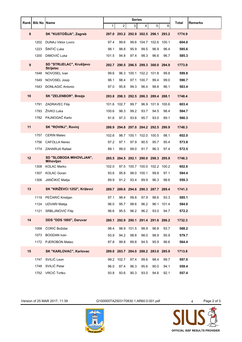|    | Rank Bib No Name |                                               | <b>Series</b> |            |                |                        |                                     | Total<br><b>Remarks</b> |        |
|----|------------------|-----------------------------------------------|---------------|------------|----------------|------------------------|-------------------------------------|-------------------------|--------|
|    |                  |                                               | $\mathbf{1}$  | 2          | 3 <sup>1</sup> | 4                      | 5                                   | 6                       |        |
| 8  |                  | SK "KUSTOŠIJA", Zagreb                        |               |            |                |                        | 297.0 293.2 292.9 302.5 296.1 293.2 |                         | 1774.9 |
|    | 1202             | <b>DUNAJ Viktor Lovro</b>                     | 97.4          | 99.6       |                |                        | 99.6 104.7 102.6 100.1              |                         | 604.0  |
|    | 1223             | ŠINTIĆ Luka                                   | 98.1          | 98.8       | 95.9           | 99.5                   | 96.9                                | 96.4                    | 585.6  |
|    | 1200             | DIMOVIĆ Luka                                  | 101.5         | 94.8       | 97.4           | 98.3                   | 96.6                                | 96.7                    | 585.3  |
| 9  |                  | SD "STRIJELAC", Krušljevo<br><b>Strijelac</b> |               |            |                |                        | 292.7 290.5 296.5 299.3 300.0 294.9 |                         | 1773.9 |
|    | 1548             | NOVOSEL Ivan                                  | 99.6          |            |                | 96.3 100.1 102.2 101.8 |                                     | 99.8                    | 599.8  |
|    | 1549             | NOVOSEL Josip                                 | 96.1          | 98.4       | 97.1           | 100.7                  | 99.4                                | 99.0                    | 590.7  |
|    |                  | 1543 ĐONLAGIĆ Antonio                         | 97.0          | 95.8       | 99.3           | 96.4                   | 98.8                                | 96.1                    | 583.4  |
| 10 |                  | SK "ZELENBOR", Brezje                         |               |            |                |                        | 293.8 298.3 292.5 286.3 289.4 288.1 |                         | 1748.4 |
|    | 1791             | <b>ZADRAVEC Filip</b>                         | 101.6         | 102.7      | 99.7           |                        | 96.9 101.9                          | 100.6                   | 603.4  |
|    | 1793             | ŽIVKO Luka                                    | 100.6         | 98.3       | 99.2           | 93.7                   | 94.5                                | 98.4                    | 584.7  |
|    |                  | 1782 PAJNOGAČ Karlo                           | 91.6          | 97.3       | 93.6           | 95.7                   | 93.0                                | 89.1                    | 560.3  |
| 11 |                  | SK "ROVINJ", Rovinj                           |               |            |                |                        | 288.9 294.8 297.0 284.2 292.5 290.9 |                         | 1748.3 |
|    | 1757             | <b>CERIN Mateo</b>                            | 102.6         |            |                | 98.7 100.1 102.0 100.5 |                                     | 98.1                    | 602.0  |
|    | 1756             | <b>CAFOLLA Nereo</b>                          | 97.2          | 97.1       | 97.9           | 90.5                   | 95.7                                | 95.4                    | 573.8  |
|    |                  | 1774 ZAHARIJA Rafael                          | 89.1          | 99.0       | 99.0           | 91.7                   | 96.3                                | 97.4                    | 572.5  |
| 12 |                  | SD "SLOBODA MIHOVLJAN",<br>Mihovljan          |               |            |                |                        | 285.5 284.5 292.1 290.0 298.3 295.9 |                         | 1746.3 |
|    | 1308             | <b>KOLAC Marko</b>                            | 102.0         |            |                |                        | 97.5 100.7 100.0 102.2 100.2        |                         | 602.6  |
|    | 1307             | <b>KOLAC Goran</b>                            | 93.6          | 95.8       | 98.0           | 100.1                  | 99.8                                | 97.1                    | 584.4  |
|    | 1306             | JANČIKIĆ Matija                               | 89.9          | 91.2       | 93.4           | 89.9                   | 96.3                                | 98.6                    | 559.3  |
| 13 |                  | SK "KRIŽEVCI 1252", Križevci                  |               |            |                |                        | 289.7 289.6 294.6 290.3 287.7 289.4 |                         | 1741.3 |
|    | 1119             | PEČARIĆ Kristijan                             | 97.1          | 98.4       | 99.8           | 97.9                   | 98.6                                | 93.3                    | 585.1  |
|    |                  | 1124 UDVARI Matija                            | 96.0          | 95.7       | 98.6           | 96.2                   |                                     | 96.1 101.4              | 584.0  |
|    | 1121             | SRBLJINOVIĆ Filip                             | 96.6          | 95.5       | 96.2           | 96.2                   | 93.0                                | 94.7                    | 572.2  |
| 14 |                  | DDS "DDS 1885", Daruvar                       |               |            |                |                        | 280.1 292.9 290.1 291.4 291.6 286.2 |                         | 1732.3 |
|    | 1058             | ĆORIĆ Božidar                                 | 98.4          |            | 98.9 101.5     | 98.9                   | 96.8                                | 93.7                    | 588.2  |
|    | 1073             | <b>BOGDAN</b> Ivan                            | 93.9          | 94.2       | 98.8           | 98.0                   | 98.9                                | 95.9                    | 579.7  |
|    |                  | 1172 PJEROBON Mateo                           | 87.8          | 99.8       | 89.8           | 94.5                   | 95.9                                | 96.6                    | 564.4  |
| 15 |                  | SK "KARLOVAC", Karlovac                       |               |            |                |                        | 289.0 283.7 284.0 288.2 283.0 285.9 |                         | 1713.8 |
|    | 1747             | SVILIĆ Leon                                   |               | 99.2 102.7 | 97.4           | 99.6                   | 98.4                                | 99.7                    | 597.0  |
|    | 1748             | SVILIĆ Petar                                  | 96.0          | 87.4       | 96.3           | 95.6                   | 90.0                                | 94.1                    | 559.4  |
|    | 1752             | VRCIĆ Tvrtko                                  | 93.8          | 93.6       | 90.3           | 93.0                   | 94.6                                | 92.1                    | 557.4  |

Version of 25 MAR 2017, 11:39 Q100000TA2503170830.1.AR60.0.001.pdf 4 Page 2 of 3



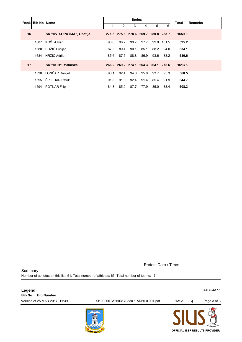|    |      | <b>Rankl Bib No IName</b> | <b>Series</b> |      |      |      |                                     |       | <b>Total</b> | Remarks |
|----|------|---------------------------|---------------|------|------|------|-------------------------------------|-------|--------------|---------|
|    |      |                           |               | 2    | 3    | 4    | 5                                   | 6     |              |         |
| 16 |      | SK "DVD-OPATIJA", Opatija |               |      |      |      | 271.5 275.6 278.6 269.7 280.8 283.7 |       | 1659.9       |         |
|    | 1687 | KOŠTA Ivan                | 98.6          | 98.7 | 99.7 | 97.7 | 99.0                                | 101.5 | 595.2        |         |
|    | 1680 | BOŽIĆ Lucijan             | 87.3          | 89.4 | 90.1 | 85.1 | 88.2                                | 94.0  | 534.1        |         |
|    | 1684 | HRŽIĆ Adrijan             | 85.6          | 87.5 | 88.8 | 86.9 | 93.6                                | 88.2  | 530.6        |         |
| 17 |      | <b>SK "DUB", Malinska</b> |               |      |      |      | 266.2 269.2 274.1 264.3 264.1 275.6 |       | 1613.5       |         |
|    | 1590 | LONČAR Danijel            | 90.1          | 92.4 | 94.0 | 95.0 | 93.7                                | 95.3  | 560.5        |         |
|    | 1595 | ŠPLEHAR Patrik            | 91.8          | 91.8 | 92.4 | 91.4 | 85.4                                | 91.9  | 544.7        |         |
|    |      | 1594 POTNAR Filip         | 84.3          | 85.0 | 87.7 | 77.9 | 85.0                                | 88.4  | 508.3        |         |

Protest Date / Time:

**Summary** Number of athletes on this list: 51; Total number of athletes: 65; Total number of teams: 17

| Legend<br><b>Bib Number</b><br><b>Bib No</b> |                                      |      |   | 44CC4A77                              |
|----------------------------------------------|--------------------------------------|------|---|---------------------------------------|
| Version of 25 MAR 2017, 11:39                | Q100000TA2503170830.1.AR60.0.001.pdf | 1A9A | 4 | Page 3 of 3                           |
|                                              | 777                                  |      |   | <b>OFFICIAL ISSF RESULTS PROVIDER</b> |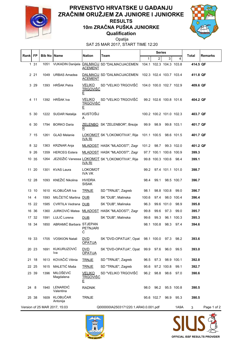

#### **Qualification 10m ZRAČNA PUŠKA JUNIORKE PRVENSTVO HRVATSKE U GAĐANJU ZRAČNIM ORUŽJEM ZA JUNIORE I JUNIORKE RESULTS**



Opatija

SAT 25 MAR 2017, START TIME 12:20

| Rank  FP |       | <b>Bib No   Name</b> |                               | Nation                                | Team                                                                        |       | Series      |                         |            | <b>Total</b> | Remarks     |
|----------|-------|----------------------|-------------------------------|---------------------------------------|-----------------------------------------------------------------------------|-------|-------------|-------------------------|------------|--------------|-------------|
|          |       |                      |                               |                                       |                                                                             | 1     | 2           | 3                       | 4          |              |             |
|          | 1 31  | 1051                 |                               | <b>ACEMENT</b>                        | VUKADIN Danijela <b>DALMACIJ</b> SD "DALMACIJACEMEN 104.1 102.3 104.3 103.8 |       |             |                         |            | 414.5 QF     |             |
|          | 2 21  | 1049                 | <b>URBAS Amadea</b>           | <b>ACEMENT</b>                        | DALMACIJ SD "DALMACIJACEMEN 102.3 102.4 103.7 103.4                         |       |             |                         |            | 411.8 QF     |             |
|          | 3 29  | 1393                 | HRŠAK Petra                   | <u>TRGOVIŠĆ</u><br>E                  | VELIKO SD "VELIKO TRGOVIŠĆ 104.0 100.0 102.7 102.9                          |       |             |                         |            | 409.6 QF     |             |
|          | 4 11  |                      | 1392 HRŠAK Iva                | <b>TRGOVISC</b><br>E                  | VELIKO SD "VELIKO TRGOVIŠĆ                                                  |       |             | 99.2 102.6 100.8 101.6  |            | 404.2 QF     |             |
|          | 5 30  |                      | 1222 SUDAR Natalija           | <b>KUSTOŠIJ</b><br>A                  |                                                                             |       |             | 100.2 100.2 101.0 102.3 |            | 403.7 QF     |             |
|          | 6 30  | 1794                 | <b>BORKO Daria</b>            | $\mathbf R$                           | ZELENBO SK "ZELENBOR", Brezje                                               | 99.9  | 98.9        |                         | 99.8 103.1 | 401.7 QF     |             |
|          | 7 15  | 1261                 | <b>GLAD Melanie</b>           | <u>IVA RI</u>                         | LOKOMOT SK "LOKOMOTIVA", Rije                                               |       | 101.1 100.5 |                         | 98.6 101.5 | 401.7 QF     |             |
|          | 8 3 2 | 1363                 | KRZNAR Anja                   |                                       | MLADOST HASK "MLADOST", Zagr                                                |       | 101.2 98.7  |                         | 99.3 102.0 | 401.2 QF     |             |
|          | 9 26  | 1359                 | <b>HERCEG</b> Estera          |                                       | MLADOST HASK "MLADOST", Zagr                                                |       |             | 97.7 100.1 100.6 100.9  |            | 399.3        |             |
|          | 10 35 | 1264                 |                               | <u>IVA RI</u>                         | JEZIDŽIĆ Vanessa LOKOMOT SK "LOKOMOTIVA", Rije                              |       |             | 99.8 100.3 100.6 98.4   |            | 399.1        |             |
|          | 11 20 | 1301                 | <b>KVAS Laura</b>             | <b>LOKOMOT</b><br><b>IVA VK</b>       |                                                                             | 99.2  |             | 97.4 101.1 101.0        |            | 398.7        |             |
|          | 12 28 | 1093                 | KNEŽIĆ Nikolina               | <b>HVIDRA</b><br><b>SISAK</b>         |                                                                             | 98.4  | 99.1        |                         | 98.5 100.7 | 396.7        |             |
|          | 13 10 | 1610                 | KLOBUČAR Iva                  | <b>TRNJE</b>                          | SD "TRNJE", Zagreb                                                          | 98.1  |             | 98.8 100.8              | 99.0       | 396.7        |             |
| 14       | 4     | 1593                 | MILČETIĆ Martina DUB          |                                       | SK "DUB", Malinska                                                          | 100.6 | 97.4        |                         | 98.0 100.4 | 396.4        |             |
|          | 15 22 | 1585                 | CVRTILA Vedrana DUB           |                                       | SK "DUB", Malinska                                                          | 96.3  |             | 99.6 101.0              | 98.9       | 395.8        |             |
|          | 16 36 | 1360                 |                               |                                       | JURKOVIĆ Matea MLADOST HASK "MLADOST", Zagr                                 | 99.8  | 99.6        | 97.3                    | 99.0       | 395.7        |             |
|          | 17 32 | 1591                 | LULIĆ Lorena                  | <b>DUB</b>                            | SK "DUB", Malinska                                                          | 99.6  | 99.3        |                         | 96.1 100.3 | 395.3        |             |
|          | 18 34 | 1850                 | ABRAMIĆ Barbara STJEPAN       | <b>PETNJARI</b><br>Ć                  |                                                                             |       | 98.1 100.8  | 98.3                    | 97.4       | 394.6        |             |
|          | 19 33 |                      | 1705 VOSKION Natali           | DVD.<br><b>OPATIJA</b>                | SK "DVD-OPATIJA", Opat 98.1 100.0 97.3                                      |       |             |                         | 98.2       | 393.6        |             |
|          | 20 23 | 1691                 | KUKURUZOVIĆ<br>Iva            | <b>DVD</b><br><b>OPATIJA</b>          | SK "DVD-OPATIJA", Opat                                                      |       | 99.9 97.6   | 96.0                    | 99.5       | 393.0        |             |
|          | 21 18 | 1613                 | KOVAČIĆ Vitinia               | <b>TRNJE</b>                          | SD "TRNJE", Zagreb                                                          | 96.5  | 97.3        | 98.9 100.1              |            | 392.8        |             |
|          | 22 25 | 1615                 | MALETIĆ Maša                  | <b>TRNJE</b>                          | SD "TRNJE", Zagreb                                                          | 95.6  |             | 97.2 100.8              | 99.1       | 392.7        |             |
|          | 23 39 | 1396                 | MILOŠEVIĆ<br>Magdalena        | <b>VELIKO</b><br><u>TRGOVIŠĆ</u><br>E | SD "VELIKO TRGOVIŠĆ                                                         | 96.2  |             | 98.8 98.6               | 97.0       | 390.6        |             |
| 24 8     |       | 1940                 | LENARDIĆ<br>Valentina         | <b>RADNIK</b>                         |                                                                             | 98.0  |             | 96.2 95.5 100.8         |            | 390.5        |             |
|          | 25 38 | 1609                 | KLOBUČAR<br>Antonija          | <b>TRNJE</b>                          |                                                                             |       | 95.6 102.7  | 96.9                    | 95.3       | 390.5        |             |
|          |       |                      | Version of 25 MAR 2017, 15:03 |                                       | Q000000IA2503171220.1.AR40.0.001.pdf                                        |       |             |                         | 1A9A       | 3            | Page 1 of 2 |



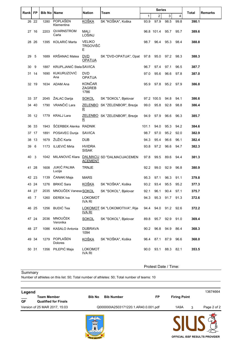| Rankl | FP    | <b>Bib No Name</b> |                                | <b>Nation</b>                          | <b>Team</b>                   |              | <b>Series</b>  |                |      | Total | <b>Remarks</b> |
|-------|-------|--------------------|--------------------------------|----------------------------------------|-------------------------------|--------------|----------------|----------------|------|-------|----------------|
|       |       |                    |                                |                                        |                               | $\mathbf{1}$ | $\overline{c}$ | 3              | 4    |       |                |
|       | 26 22 | 1280               | POPLAŠEN<br>Klementina         | <b>KOŠKA</b>                           | SK "KOŠKA", Koška             | 93.9         | 97.9           | 98.5           | 99.8 | 390.1 |                |
|       | 27 16 | 2203               | QVARNSTROM<br>Carla            | <b>MALI</b><br>LOŠINJ                  |                               |              | 96.8 101.4     | 95.7           | 95.7 | 389.6 |                |
|       | 28 26 | 1395               | KOLARIĆ Marta                  | <b>VELIKO</b><br><b>TRGOVIŠĆ</b><br>E  |                               | 98.7         | 96.4           | 95.3           | 98.4 | 388.8 |                |
| 29    | 5     | 1689               | KRŠANAC Matea                  | <b>DVD</b><br><b>OPATIJA</b>           | SK "DVD-OPATIJA", Opat 97.8   |              | 95.0           | 97.2           | 98.3 | 388.3 |                |
| 30    | 9     | 1887               | <b>KRUPLJANIĆ Stela SAVICA</b> |                                        |                               | 96.7         | 97.4           | 97.1           | 96.5 | 387.7 |                |
|       | 31 14 | 1690               | KUKURUZOVIĆ<br>Ana             | <b>DVD</b><br><b>OPATIJA</b>           |                               | 97.0         | 95.6           | 96.6           | 97.8 | 387.0 |                |
|       | 32 19 |                    | 1634 ADAM Ana                  | <b>KONČAR</b><br><b>ZAGREB</b><br>1786 |                               | 95.9         | 97.8           | 95.2 97.9      |      | 386.8 |                |
|       | 33 37 | 2045               | ŽALAC Darija                   | SOKOL                                  | SK "SOKOL", Bjelovar          |              | 97.2 100.5     | 94.8           | 94.1 | 386.6 |                |
|       | 34 40 | 1790               | VRANČIĆ Lara                   | $\mathbf R$                            | ZELENBO SK "ZELENBOR", Brezje | 99.0         | 95.8           | 92.8           | 98.8 | 386.4 |                |
|       | 35 12 | 1779               | KRALJ Lara                     | $\mathbf R$                            | ZELENBO SK "ZELENBOR", Brezje | 94.9         | 97.9           | 96.6           | 96.3 | 385.7 |                |
|       | 36 33 | 1943               | ŠĆERBEK Alenka RADNIK          |                                        |                               | 101.1        | 94.0           | 95.3           | 94.2 | 384.6 |                |
|       | 37 17 | 1891               | POSAVEC Dunja                  | <b>SAVICA</b>                          |                               | 98.7         | 97.0           | 95.2           | 92.0 | 382.9 |                |
|       | 38 13 | 1679               | ŽUŽIĆ Karla                    | <b>DUB</b>                             |                               | 94.3         | 95.4           | 96.6           | 96.1 | 382.4 |                |
| 39 6  |       | 1173               | ILIJEVIĆ Mirta                 | <b>HVIDRA</b><br><b>SISAK</b>          |                               | 93.8         | 97.2           | 96.6           | 94.7 | 382.3 |                |
| 40    | 3     | 1042               | MILANOVIĆ Klara                | <b>ACEMENT</b>                         | DALMACIJ SD "DALMACIJACEMEN   | 97.8         | 99.5           | 89.6           | 94.4 | 381.3 |                |
| 41    | -28   | 1608               | JUKIĆ PALMA<br>Lucija          | <b>TRNJE</b>                           |                               | 92.2         | 99.0           | 92.9           | 96.8 | 380.9 |                |
|       | 42 23 | 1139               | ČANAKI Maja                    | <b>MARS</b>                            |                               | 95.3         | 97.1           | 96.3           | 91.1 | 379.8 |                |
|       | 43 24 |                    | 1276 BRKIĆ Sara                | <b>KOŠKA</b>                           | SK "KOŠKA", Koška             | 93.2         | 93.4           | 95.5           | 95.2 | 377.3 |                |
|       | 44 27 |                    | 2035 MNOUČEK Vanesa SOKOL      |                                        | SK "SOKOL", Bjelovar          | 92.1         | 96.1           | 90.4 97.1      |      | 375.7 |                |
|       | 45 7  |                    | 1260 ĐEREK Iva                 | <b>LOKOMOT</b><br><b>IVA RI</b>        |                               | 94.3         | 95.3           | 91.7 91.3      |      | 372.6 |                |
|       | 46 25 |                    | 1256 BUDIĆ Tea                 | <u>IVA RI</u>                          | LOKOMOT SK "LOKOMOTIVA", Rije | 94.4         |                | 94.0 91.2 92.6 |      | 372.2 |                |
|       | 47 24 | 2036               | MNOUČEK<br>Veronika            | <b>SOKOL</b>                           | SK "SOKOL", Bjelovar          | 89.8         | 95.7           | 92.9           | 91.0 | 369.4 |                |
|       | 48 27 | 1086               | KASALO Antonia                 | <b>DUBRAVA</b><br>1094                 |                               | 90.2         | 96.8           | 94.9           | 86.4 | 368.3 |                |
|       | 49 34 |                    | 1279 POPLAŠEN<br>Dolores       | <u>KOŠKA</u>                           | SK "KOŠKA", Koška             |              | 96.4 87.1      | 87.9           | 96.6 | 368.0 |                |
|       | 50 31 |                    | 1356 PILEPIĆ Maja              | <b>LOKOMOT</b><br><b>IVA RI</b>        |                               | 90.0         | 93.1           | 88.3 82.1      |      | 353.5 |                |

Protest Date / Time:

**Summary** 

Number of athletes on this list: 50; Total number of athletes: 50; Total number of teams: 10

| Legend                   |                                                   |                   |                                      |    |                     |   | 13674664    |
|--------------------------|---------------------------------------------------|-------------------|--------------------------------------|----|---------------------|---|-------------|
| $\overline{\mathsf{QF}}$ | <b>Team Member</b><br><b>Qualified for Finals</b> | <b>Bib No</b>     | <b>Bib Number</b>                    | FP | <b>Firing Point</b> |   |             |
|                          | Version of 25 MAR 2017, 15:03                     |                   | Q000000IA2503171220.1.AR40.0.001.pdf |    | 1A9A                | 3 | Page 2 of 2 |
|                          |                                                   | <b>TELEVISION</b> |                                      |    |                     |   |             |

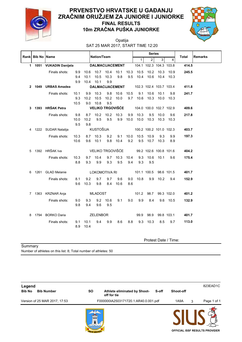

#### **10m ZRAČNA PUŠKA JUNIORKE PRVENSTVO HRVATSKE U GAĐANJU ZRAČNIM ORUŽJEM ZA JUNIORE I JUNIORKE FINAL RESULTS**



SAT 25 MAR 2017, START TIME 12:20 Opatija

|   | Rank Bib No Name |                         |             |                  | Nation/Team     |                     |                                                 | <b>Series</b> |                         |                      |                         | Total      | <b>Remarks</b> |  |
|---|------------------|-------------------------|-------------|------------------|-----------------|---------------------|-------------------------------------------------|---------------|-------------------------|----------------------|-------------------------|------------|----------------|--|
|   |                  |                         |             |                  |                 |                     |                                                 |               | $\mathbf{1}$            | 2 <sup>1</sup>       | 3                       | 4          |                |  |
|   |                  | 1 1051 VUKADIN Danijela |             |                  |                 |                     | <b>DALMACIJACEMENT</b>                          |               |                         |                      | 104.1 102.3 104.3 103.8 |            | 414.5          |  |
|   |                  | Finals shots:           | 9.9         |                  |                 |                     | 10.6 10.7 10.4 10.1                             |               | 10.3 10.5               |                      | 10.2 10.3 10.9          |            | 245.5          |  |
|   |                  |                         | 9.4         | 10.1             |                 | 10.5 10.3           | 9.8                                             |               | 9.5 10.4 10.6 10.4 10.3 |                      |                         |            |                |  |
|   |                  |                         | 9.9         |                  | 10.4 10.1       | 9.9                 |                                                 |               |                         |                      |                         |            |                |  |
|   |                  | 2 1049 URBAS Amadea     |             |                  |                 |                     | DALMACIJACEMENT 102.3 102.4 103.7 103.4         |               |                         |                      |                         |            | 411.8          |  |
|   |                  | Finals shots:           | 10.1        |                  | 9.9 10.3        |                     | 9.8 10.6 10.5                                   |               | 9.1                     |                      | 10.6 10.1               | 9.8        | 241.7          |  |
|   |                  |                         | 9.3         |                  |                 | 10.2 10.5 10.2 10.0 |                                                 | 9.7           |                         |                      | 10.6 10.3 10.0 10.3     |            |                |  |
|   |                  |                         | 10.5        |                  | 9.0 10.8        | 9.5                 |                                                 |               |                         |                      |                         |            |                |  |
|   |                  | 3 1393 HRŠAK Petra      |             |                  |                 |                     | <b>VELIKO TRGOVIŠĆE</b> 104.0 100.0 102.7 102.9 |               |                         |                      |                         |            | 409.6          |  |
|   |                  | Finals shots:           | 9.8         |                  |                 |                     | 8.7 10.2 10.2 10.3                              |               | 9.9 10.3                |                      | 9.5 10.0                | 9.6        | 217.8          |  |
|   |                  |                         | 10.0 10.2   |                  | 9.5             | 9.5                 | 9.9                                             | 10.0          | 10.0                    |                      | 10.3 10.3 10.3          |            |                |  |
|   |                  |                         | 9.5         | 9.8              |                 |                     |                                                 |               |                         |                      |                         |            |                |  |
|   |                  | 4 1222 SUDAR Natalija   |             |                  | KUSTOŠIJA       |                     |                                                 |               |                         |                      | 100.2 100.2 101.0 102.3 |            | 403.7          |  |
|   |                  | Finals shots:           | 10.3        |                  | 8.7 10.3        | 9.2                 | 9.1                                             |               | 10.0 10.5               | 10.9                 | 9.3                     | 9.9        | 197.3          |  |
|   |                  |                         | 10.6        |                  | 9.6 10.1        |                     | 9.8 10.4                                        | 9.2           | 9.5                     | 10.7                 | 10.3                    | 8.9        |                |  |
|   |                  | 5 1392 HRŠAK Iva        |             |                  |                 |                     | VELIKO TRGOVIŠĆE                                |               |                         |                      | 99.2 102.6 100.8 101.6  |            | 404.2          |  |
|   |                  |                         |             |                  |                 |                     |                                                 |               |                         |                      |                         |            |                |  |
|   |                  | Finals shots:           | 10.3<br>8.8 | 9.3              | 9.7 10.4<br>9.9 | 93                  | 9.7 10.3 10.4<br>9.5                            | 9.4           | 9.3<br>9.3              | 9.5                  | 10.6 10.1               | 9.6        | 175.4          |  |
|   |                  |                         |             |                  |                 |                     |                                                 |               |                         |                      |                         |            |                |  |
|   |                  | 6 1261 GLAD Melanie     |             |                  |                 | LOKOMOTIVA RI       |                                                 |               |                         |                      | 101.1 100.5 98.6 101.5  |            | 401.7          |  |
|   |                  | Finals shots:           | 8.1         | 9.2              | 9.7             | 9.7                 | 9.6                                             |               | 9.0 10.8                |                      | 9.9 10.2                | 9.4        | 152.9          |  |
|   |                  |                         | 9.6         |                  | 10.3 9.8        |                     | 8.4 10.6                                        | 8.6           |                         |                      |                         |            |                |  |
|   |                  |                         |             |                  |                 |                     |                                                 |               |                         |                      |                         |            |                |  |
|   |                  | 7 1363 KRZNAR Anja      |             |                  | MLADOST         |                     |                                                 |               |                         | 101.2 98.7           |                         | 99.3 102.0 | 401.2          |  |
|   |                  | Finals shots:           | 9.0         | 9.3              |                 | $9.2$ 10.6          | 9.1                                             | 9.0           | 9.9                     | 8.4                  |                         | 9.6 10.5   | 132.9          |  |
|   |                  |                         | 9.8         | 9.4              | 9.6             | 9.5                 |                                                 |               |                         |                      |                         |            |                |  |
| 8 |                  | 1794 BORKO Daria        |             |                  | ZELENBOR        |                     |                                                 |               |                         | 99.9 98.9            |                         | 99.8 103.1 | 401.7          |  |
|   |                  |                         |             |                  |                 |                     |                                                 |               |                         |                      |                         |            | 113.0          |  |
|   |                  | Finals shots:           | 8.9         | 9.1 10.1<br>10.4 | 9.4             | 9.9                 | 8.6                                             | 8.8           |                         | 9.3 10.3             | 8.5                     | 9.7        |                |  |
|   |                  |                         |             |                  |                 |                     |                                                 |               |                         |                      |                         |            |                |  |
|   |                  |                         |             |                  |                 |                     |                                                 |               |                         |                      |                         |            |                |  |
|   |                  |                         |             |                  |                 |                     |                                                 |               |                         | Protest Date / Time: |                         |            |                |  |

Summary

Number of athletes on this list: 8; Total number of athletes: 50

| Legend        |                               |           |                                             |       |           |   | 823EAD1C                              |
|---------------|-------------------------------|-----------|---------------------------------------------|-------|-----------|---|---------------------------------------|
| <b>Bib No</b> | <b>Bib Number</b>             | <b>SO</b> | Athlete eliminated by Shoot-<br>off for tie | S-off | Shoot-off |   |                                       |
|               | Version of 25 MAR 2017, 17:53 |           | F000000IA2503171720.1.AR40.0.001.pdf        |       | 1A9A      | 3 | Page 1 of 1                           |
|               |                               | 1999      |                                             |       |           |   | <b>OFFICIAL ISSF RESULTS PROVIDER</b> |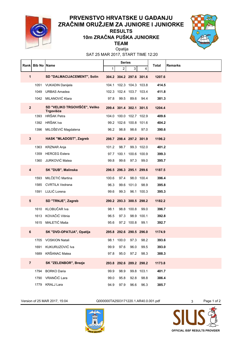

#### **TEAM 10m ZRAČNA PUŠKA JUNIORKE RESULTS**



SAT 25 MAR 2017, START TIME 12:20 Opatija

|                | Rank   Bib No   Name |                                            |              | <b>Series</b> |                         |            | Total  | <b>Remarks</b> |
|----------------|----------------------|--------------------------------------------|--------------|---------------|-------------------------|------------|--------|----------------|
|                |                      |                                            | $\mathbf{1}$ | 2             | 3 <sup>1</sup>          | 4          |        |                |
| 1              |                      | SD "DALMACIJACEMENT", Solin                |              |               | 304.2 304.2 297.6 301.6 |            | 1207.6 |                |
|                | 1051                 | <b>VUKADIN Danijela</b>                    |              |               | 104.1 102.3 104.3 103.8 |            | 414.5  |                |
|                | 1049                 | <b>URBAS Amadea</b>                        |              |               | 102.3 102.4 103.7 103.4 |            | 411.8  |                |
|                | 1042                 | MILANOVIĆ Klara                            | 97.8         | 99.5          | 89.6                    | 94.4       | 381.3  |                |
| $\overline{2}$ |                      | SD "VELIKO TRGOVIŠĆE", Veliko<br>Trgovišće |              |               | 299.4 301.4 302.1 301.5 |            | 1204.4 |                |
|                | 1393                 | HRŠAK Petra                                |              |               | 104.0 100.0 102.7 102.9 |            | 409.6  |                |
|                |                      | 1392 HRŠAK Iva                             |              |               | 99.2 102.6 100.8 101.6  |            | 404.2  |                |
|                |                      | 1396 MILOŠEVIĆ Magdalena                   | 96.2         | 98.8          | 98.6                    | 97.0       | 390.6  |                |
| $\mathbf{3}$   |                      | HASK "MLADOST", Zagreb                     |              |               | 298.7 298.4 297.2 301.9 |            | 1196.2 |                |
|                | 1363                 | <b>KRZNAR Anja</b>                         | 101.2        | 98.7          |                         | 99.3 102.0 | 401.2  |                |
|                | 1359                 | <b>HERCEG Estera</b>                       | 97.7         | 100.1         | 100.6 100.9             |            | 399.3  |                |
|                | 1360                 | JURKOVIĆ Matea                             | 99.8         | 99.6          | 97.3                    | 99.0       | 395.7  |                |
| 4              |                      | SK "DUB", Malinska                         |              |               | 296.5 296.3 295.1 299.6 |            | 1187.5 |                |
|                | 1593                 | MILČETIĆ Martina                           | 100.6        | 97.4          |                         | 98.0 100.4 | 396.4  |                |
|                | 1585                 | <b>CVRTILA Vedrana</b>                     | 96.3         |               | 99.6 101.0              | 98.9       | 395.8  |                |
|                | 1591                 | LULIĆ Lorena                               | 99.6         | 99.3          |                         | 96.1 100.3 | 395.3  |                |
| 5              |                      | SD "TRNJE", Zagreb                         |              |               | 290.2 293.3 300.5 298.2 |            | 1182.2 |                |
|                | 1610                 | KLOBUČAR Iva                               | 98.1         |               | 98.8 100.8              | 99.0       | 396.7  |                |
|                |                      | 1613 KOVAČIĆ Vitinia                       | 96.5         | 97.3          |                         | 98.9 100.1 | 392.8  |                |
|                |                      | 1615 MALETIĆ Maša                          | 95.6         |               | 97.2 100.8              | 99.1       | 392.7  |                |
| 6              |                      | SK "DVD-OPATIJA", Opatija                  |              |               | 295.8 292.6 290.5 296.0 |            | 1174.9 |                |
|                |                      | 1705 VOSKION Natali                        |              | 98.1 100.0    | 97.3                    | 98.2       | 393.6  |                |
|                | 1691                 | KUKURUZOVIĆ Iva                            | 99.9         | 97.6          | 96.0                    | 99.5       | 393.0  |                |
|                | 1689                 | KRŠANAC Matea                              | 97.8         | 95.0          | 97.2                    | 98.3       | 388.3  |                |
| $\overline{7}$ |                      | SK "ZELENBOR", Brezje                      |              |               | 293.8 292.6 289.2 298.2 |            | 1173.8 |                |
|                | 1794                 | <b>BORKO Daria</b>                         | 99.9         | 98.9          |                         | 99.8 103.1 | 401.7  |                |
|                | 1790                 | VRANČIĆ Lara                               | 99.0         | 95.8          | 92.8                    | 98.8       | 386.4  |                |
|                | 1779                 | <b>KRALJ Lara</b>                          | 94.9         | 97.9          | 96.6                    | 96.3       | 385.7  |                |

Version of 25 MAR 2017, 15:04 Q000000TA2503171220.1.AR40.0.001.pdf 3 Page 1 of 2



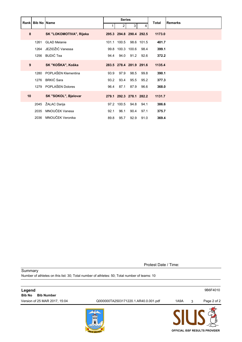|    | <b>Rank Bib No Name</b> |                         |      | <b>Series</b>  |                         |            | Total  | <b>Remarks</b> |
|----|-------------------------|-------------------------|------|----------------|-------------------------|------------|--------|----------------|
|    |                         |                         |      | $\overline{2}$ | 3                       | 4          |        |                |
| 8  |                         | SK "LOKOMOTIVA", Rijeka |      |                | 295.3 294.8 290.4 292.5 |            | 1173.0 |                |
|    | 1261                    | <b>GLAD Melanie</b>     |      | 101.1 100.5    |                         | 98.6 101.5 | 401.7  |                |
|    | 1264                    | JEZIDŽIĆ Vanessa        |      |                | 99.8 100.3 100.6 98.4   |            | 399.1  |                |
|    | 1256                    | BUDIĆ Tea               | 94.4 | 94.0           |                         | 91.2 92.6  | 372.2  |                |
| 9  |                         | SK "KOŠKA", Koška       |      |                | 283.5 278.4 281.9 291.6 |            | 1135.4 |                |
|    | 1280                    | POPLAŠEN Klementina     | 93.9 | 97.9           | 98.5                    | 99.8       | 390.1  |                |
|    | 1276                    | BRKIĆ Sara              | 93.2 | 93.4           | 95.5                    | 95.2       | 377.3  |                |
|    |                         | 1279 POPLAŠEN Dolores   | 96.4 | 87.1           | 87.9                    | 96.6       | 368.0  |                |
| 10 |                         | SK "SOKOL", Bjelovar    |      |                | 279.1 292.3 278.1 282.2 |            | 1131.7 |                |
|    | 2045                    | ŽALAC Darija            |      | 97.2 100.5     | 94.8                    | 94.1       | 386.6  |                |
|    | 2035                    | MNOUČEK Vanesa          | 92.1 | 96.1           | 90.4                    | 97.1       | 375.7  |                |
|    | 2036                    | MNOUČEK Veronika        | 89.8 | 95.7           | 92.9                    | 91.0       | 369.4  |                |

Protest Date / Time:

**Summary** Number of athletes on this list: 30; Total number of athletes: 50; Total number of teams: 10

| Legend<br><b>Bib No</b><br><b>Bib Number</b> |                                      |      |   | 9B6F4010                              |
|----------------------------------------------|--------------------------------------|------|---|---------------------------------------|
| Version of 25 MAR 2017, 15:04                | Q000000TA2503171220.1.AR40.0.001.pdf | 1A9A | 3 | Page 2 of 2                           |
|                                              | 111<br><b>AD OPA</b>                 |      |   | <b>OFFICIAL ISSF RESULTS PROVIDER</b> |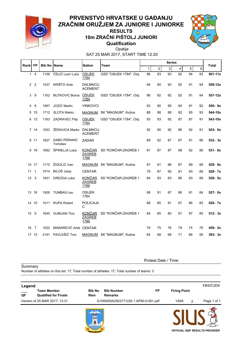

#### **Qualification 10m ZRAČNI PIŠTOLJ JUNIORI RESULTS**



SAT 25 MAR 2017, START TIME 12:20 Opatija

| Rank FP      |                | <b>Bib No Name</b> |                          | <b>Nation</b>                          | Team                       |              |                | <b>Series</b> |    |                |         | Total      |
|--------------|----------------|--------------------|--------------------------|----------------------------------------|----------------------------|--------------|----------------|---------------|----|----------------|---------|------------|
|              |                |                    |                          |                                        |                            | $\mathbf{1}$ | $\overline{2}$ | 3             | 4  | $\overline{5}$ | $\,6\,$ |            |
| $\mathbf{1}$ | $\overline{4}$ | 1158               | ĆELIĆ Leon Luka          | <b>OSIJEK</b><br>1784                  | GSD "OSIJEK 1784", Osij    | 96           | 93             | 93            | 92 | 94             | 93      | 561-11x    |
| $\mathbf{2}$ | $\overline{2}$ | 1037               | KRIŠTO Ante              | <b>DALMACIJ</b><br><b>ACEMENT</b>      |                            | 94           | 94             | 93            | 92 | 91             | 94      | 558-12x    |
| 3            | 9              | 1162               | <b>BUTKOVIĆ Borna</b>    | <b>OSIJEK</b><br>1784                  | GSD "OSIJEK 1784", Osij    | 96           | 92             | 92            | 92 | 91             | 94      | 557-12x    |
| 4            | 6              | 1567               | JOZIĆ Martin             | <b>VINKOVCI</b>                        |                            | 93           | 90             | 90            | 94 | 91             | 92      | 550-8x     |
| 5            | 15             | 1712               | <b>SLOTA Marko</b>       |                                        | MAGNUM SK "MAGNUM", Kutina | 88           | 88             | 88            | 92 | 95             | 93      | 544-10x    |
| 6            | 13             | 1163               | <b>ZADRAVEC Filip</b>    | <b>OSIJEK</b><br>1784                  | GSD "OSIJEK 1784", Osij    | 93           | 93             | 92            | 87 | 87             | 91      | 543-10x    |
|              | 7.14           | 1053               | ŽERAVICA Marko           | <b>DALMACIJ</b><br><b>ACEMENT</b>      |                            | 92           | 90             | 92            | 86 | 92             | 91      | 543- 6x    |
| 8            | 11             | 1827               | DABO PERANIĆ<br>Tomislav | ZADAR                                  |                            | 89           | 92             | 87            | 87 | 91             | 86      | $532 - 3x$ |
| 9            | 18             | 1662               | ŠPIRELJA Luka            | <b>KONČAR</b><br><b>ZAGREB</b><br>1786 | SD "KONČAR-ZAGREB 1        | 91           | 87             | 87            | 88 | 92             | 86      | $531 - 8x$ |
| 10           | 17             | 1715               | ŽIGOLIĆ Ivan             |                                        | MAGNUM SK "MAGNUM", Kutina | 87           | 91             | 86            | 87 | 89             | 89      | 529-8x     |
| 11           | 1              | 1014               | <b>BILOŠ Josip</b>       | <b>CENTAR</b>                          |                            | 79           | 87             | 90            | 91 | 93             | 88      | 528-7x     |
| 12           | 3              | 1831               | <b>DREZGA Luka</b>       | <b>KONČAR</b><br><b>ZAGREB</b><br>1786 | SD "KONČAR-ZAGREB 1        | 84           | 93             | 83            | 86 | 93             | 89      | 528-5x     |
|              | 13 16          | 1926               | <b>TUMBAS Leo</b>        | <b>OSIJEK</b><br>1784                  |                            | 88           | 91             | 87            | 86 | 91             | 84      | 527-0x     |
|              | 14 10          | 1011               | <b>RUPA Robert</b>       | <b>POLICAJA</b><br>C                   |                            | 88           | 85             | 91            | 87 | 86             | 83      | 520- 7x    |
| 15           | 5              | 1645               | <b>GUBIJAN Tino</b>      | <u>KONČAR</u><br><b>ZAGREB</b><br>1786 | SD "KONČAR-ZAGREB 1        | 84           | 85             | 80            | 91 | 87             | 85      | $512 - 3x$ |
| 16           | $\overline{7}$ | 1022               | MAĐAREVIĆ Ante CENTAR    |                                        |                            | 79           | 75             | 76            | 79 | 74             | 76      | 459-2x     |
|              | 17 12          | 2191               | PAVLEŠIĆ Toni            |                                        | MAGNUM SK "MAGNUM", Kutina | 64           | 68             | 68            | 71 | 66             | 56      | $393 - 3x$ |

**Summary** 

Protest Date / Time:

**Legend** EB42C2DE **\_\_\_ Team Member Bib No Bib Number FP Firing Point QF Qualified for Finals Rem Remarks** Version of 25 MAR 2017, 13:31 Q100000IA2503171220.1.AP60.0.001.pdf 1A9A 2 Page 1 of 1

Number of athletes on this list: 17; Total number of athletes: 17; Total number of teams: 3

**OFFICIAL ISSF RESULTS PROVIDER**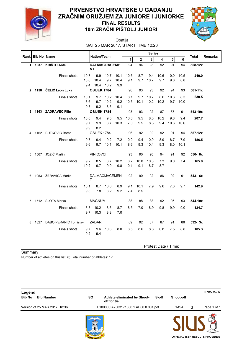

### **10m ZRAČNI PIŠTOLJ JUNIORI**



SAT 25 MAR 2017, START TIME 12:20 Opatija

|              |                    |                            |             | Nation/Team         |                       |             |              | <b>Series</b>  |                      |                |             |             |             |         |
|--------------|--------------------|----------------------------|-------------|---------------------|-----------------------|-------------|--------------|----------------|----------------------|----------------|-------------|-------------|-------------|---------|
| Rank         | <b>Bib No Name</b> |                            |             |                     |                       |             | $\mathbf{1}$ | $\overline{2}$ | $\mathbf{3}$         | $\overline{4}$ | 5           | 6           | Total       | Remarks |
| $\mathbf{1}$ | 1037               | <b>KRIŠTO Ante</b>         |             |                     | <b>DALMACIJACEME</b>  |             | 94           | 94             | 93                   | 92             | 91          | 94          | 558-12x     |         |
|              |                    |                            | NΤ          |                     |                       |             |              |                |                      |                |             |             |             |         |
|              |                    | Finals shots:              | 10.7        | 9.9                 | 10.7                  | 10.1        | 10.6         | 8.7            | 9.4                  | 10.6           | 10.0        | 10.5        | 240.0       |         |
|              |                    |                            | 10.6        | 10.4                | 9.7                   | 10.4        | 9.1          | 9.7            | 10.7                 | 9.7            | 9.8         | 8.8         |             |         |
| $\mathbf{2}$ | 1158               | ĆELIĆ Leon Luka            | 9.4         | 10.4<br>OSIJEK 1784 | 10.2                  | 9.9         | 96           | 93             | 93                   | 92             | 94          | 93          | $561 - 11x$ |         |
|              |                    |                            |             |                     |                       |             |              |                |                      |                |             |             |             |         |
|              |                    | Finals shots:              | 10.1<br>8.6 | 9.7<br>9.7          | 10.2<br>10.2          | 10.4<br>9.2 | 8.1<br>10.3  | 9.7<br>10.1    | 10.7<br>10.2         | 8.6<br>10.2    | 10.3<br>9.7 | 8.3<br>10.0 | 230.5       |         |
|              |                    |                            | 9.3         | 9.2                 | 8.6                   | 9.1         |              |                |                      |                |             |             |             |         |
| 3            |                    | 1163 ZADRAVEC Filip        |             | OSIJEK 1784         |                       |             | 93           | 93             | 92                   | 87             | 87          | 91          | 543-10x     |         |
|              |                    | Finals shots:              | 10.0        | 9.4                 | 9.5                   | 9.5         | 10.0         | 9.5            | 8.3                  | 10.2           | 9.8         | 9.4         | 207.7       |         |
|              |                    |                            | 9.7         | 9.9                 | 8.7                   | 10.3        | 7.0          | 9.5            | 8.3                  | 9.4            | 10.6        | 10.6        |             |         |
|              |                    |                            | 9.9         | 8.2                 |                       |             |              |                |                      |                |             |             |             |         |
| 4            |                    | 1162 BUTKOVIĆ Borna        |             | OSIJEK 1784         |                       |             | 96           | 92             | 92                   | 92             | 91          | 94          | 557-12x     |         |
|              |                    | Finals shots:              | 9.7         | 9.4                 | 9.2                   | 7.2         | 10.0         | 9.4            | 10.9                 | 8.9            | 8.7         | 7.9         | 186.5       |         |
|              |                    |                            | 9.6         | 9.7                 | 10.1                  | 10.1        | 8.6          | 9.3            | 10.4                 | 9.3            | 8.0         | 10.1        |             |         |
| 5            |                    | 1567 JOZIĆ Martin          |             | <b>VINKOVCI</b>     |                       |             | 93           | 90             | 90                   | 94             | 91          | 92          | 550-8x      |         |
|              |                    |                            |             |                     |                       |             |              |                |                      |                |             |             |             |         |
|              |                    | Finals shots:              | 9.2<br>10.2 | 8.5<br>9.7          | 8.7<br>99             | 10.2<br>9.8 | 8.7<br>10.1  | 10.0<br>9.1    | 10.6<br>8.7          | 7.3<br>8.7     | 9.0         | 7.4         | 165.8       |         |
|              |                    |                            |             |                     |                       |             |              |                |                      |                |             |             |             |         |
| 6            |                    | 1053 ŽERAVICA Marko        | т           |                     | <b>DALMACIJACEMEN</b> |             | 92           | 90             | 92                   | 86             | 92          | 91          | 543- 6x     |         |
|              |                    | Finals shots:              | 10.1        | 8.7                 | 10.6                  | 8.9         | 9.1          | 10.1           | 7.9                  | 9.6            | 7.3         | 9.7         | 142.9       |         |
|              |                    |                            | 9.8         | 7.8                 | 8.2                   | 9.2         | 7.4          | 8.5            |                      |                |             |             |             |         |
|              |                    | 7 1712 SLOTA Marko         |             | <b>MAGNUM</b>       |                       |             | 88           | 88             | 88                   | 92             | 95          | 93          | 544-10x     |         |
|              |                    | Finals shots:              | 8.8         | 10.2                | 8.6                   | 8.7         | 8.5          | 7.0            | 8.9                  | 9.8            | 9.9         | 9.0         | 124.7       |         |
|              |                    |                            | 9.7         | 10.3                | 8.3                   | 7.0         |              |                |                      |                |             |             |             |         |
|              |                    |                            |             |                     |                       |             |              |                |                      |                |             |             |             |         |
| 8            |                    | 1827 DABO PERANIĆ Tomislav |             | ZADAR               |                       |             | 89           | 92             | 87                   | 87             | 91          | 86          | $532 - 3x$  |         |
|              |                    | Finals shots:              | 9.7<br>9.2  | 9.6<br>9.4          | 10.6                  | 8.0         | 8.5          | 8.6            | 8.6                  | 6.8            | 7.5         | 8.8         | 105.3       |         |
|              |                    |                            |             |                     |                       |             |              |                |                      |                |             |             |             |         |
|              |                    |                            |             |                     |                       |             |              |                | Protest Date / Time: |                |             |             |             |         |

**Summary** 

Number of athletes on this list: 8; Total number of athletes: 17

| Legend        |                               |                 |                                             |       |                  |   | D785B57A                              |
|---------------|-------------------------------|-----------------|---------------------------------------------|-------|------------------|---|---------------------------------------|
| <b>Bib No</b> | <b>Bib Number</b>             | <b>SO</b>       | Athlete eliminated by Shoot-<br>off for tie | S-off | <b>Shoot-off</b> |   |                                       |
|               | Version of 25 MAR 2017, 18:36 |                 | F100000IA2503171800.1.AP60.0.001.pdf        |       | 1A9A             | 2 | Page 1 of 1                           |
|               |                               | <b>RAD OPAT</b> |                                             |       |                  |   | <b>OFFICIAL ISSF RESULTS PROVIDER</b> |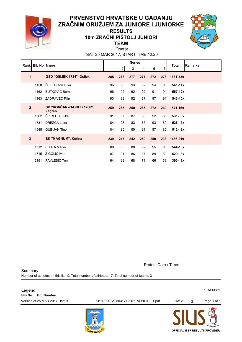

#### **TEAM 10m ZRAČNI PIŠTOLJ JUNIORI RESULTS**



SAT 25 MAR 2017, START TIME 12:20 Opatija

|                | Rank Bib No Name |                                    |     | <b>Series</b> |     |     |                | <b>Total</b> | <b>Remarks</b> |  |
|----------------|------------------|------------------------------------|-----|---------------|-----|-----|----------------|--------------|----------------|--|
|                |                  |                                    | 1   | 2             | 3   | 4   | 5 <sup>1</sup> | 6            |                |  |
| 1              |                  | GSD "OSIJEK 1784", Osijek          | 285 | 278           | 277 | 271 | 272            | 278          | 1661-33x       |  |
|                | 1158             | ĆELIĆ Leon Luka                    | 96  | 93            | 93  | 92  | 94             | 93           | $561 - 11x$    |  |
|                | 1162             | <b>BUTKOVIĆ Borna</b>              | 96  | 92            | 92  | 92  | 91             | 94           | 557-12x        |  |
|                | 1163             | ZADRAVEC Filip                     | 93  | 93            | 92  | 87  | 87             | 91           | 543-10x        |  |
| $\overline{2}$ |                  | SD "KONČAR-ZAGREB 1786",<br>Zagreb | 259 | 265           | 250 | 265 | 272            | 260          | 1571-16x       |  |
|                | 1662             | ŠPIRELJA Luka                      | 91  | 87            | 87  | 88  | 92             | 86           | $531 - 8x$     |  |
|                | 1831             | DREZGA Luka                        | 84  | 93            | 83  | 86  | 93             | 89           | $528 - 5x$     |  |
|                | 1645             | <b>GUBIJAN Tino</b>                | 84  | 85            | 80  | 91  | 87             | 85           | $512 - 3x$     |  |
| 3              |                  | <b>SK "MAGNUM", Kutina</b>         | 239 | 247           | 242 | 250 | 250            | 238          | 1466-21x       |  |
|                | 1712             | <b>SLOTA Marko</b>                 | 88  | 88            | 88  | 92  | 95             | 93           | 544-10x        |  |
|                | 1715             | ŽIGOLIĆ Ivan                       | 87  | 91            | 86  | 87  | 89             | 89           | 529-8x         |  |
|                | 2191             | PAVLEŠIĆ Toni                      | 64  | 68            | 68  | 71  | 66             | 56           | $393 - 3x$     |  |

Protest Date / Time:

**OFFICIAL ISSF RESULTS PROVIDER**

**Summary** Number of athletes on this list: 9; Total number of athletes: 17; Total number of teams: 3

| Legend                             |                                      |      |                | 1FAE6B81    |
|------------------------------------|--------------------------------------|------|----------------|-------------|
| <b>Bib No</b><br><b>Bib Number</b> |                                      |      |                |             |
| Version of 25 MAR 2017, 19:19      | Q100000TA2503171220.1.AP60.0.001.pdf | 1A9A | $\overline{2}$ | Page 1 of 1 |
|                                    | 1999                                 |      |                |             |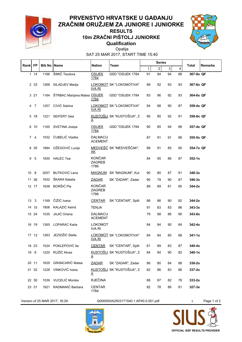

#### **Qualification 10m ZRAČNI PIŠTOLJ JUNIORKE RESULTS**



SAT 25 MAR 2017, START TIME 15:40 Opatija

| Rank FP        |                | <b>Bib No IName</b> |                              | <b>Nation</b>                          | Team                       |    | <b>Series</b>  |              |    | <b>Total</b> | <b>Remarks</b> |
|----------------|----------------|---------------------|------------------------------|----------------------------------------|----------------------------|----|----------------|--------------|----|--------------|----------------|
|                |                |                     |                              |                                        |                            | 1  | $\overline{2}$ | $\mathbf{3}$ | 4  |              |                |
|                | 1114           | 1166                | ŠIMIĆ Teodora                | <b>OSIJEK</b><br>1784                  | GSD "OSIJEK 1784           | 91 | 94             | 94           | 88 | 367-9x QF    |                |
|                | 2 3 3          | 1268                | SILADJEV Marija              | <u>IVA RI</u>                          | LOKOMOT SK "LOKOMOTIVA"    | 89 | 92             | 93           | 93 | 367-6x QF    |                |
|                | 321            | 1164                | ŠTRBAC Marijana Matea OSIJEK | 1784                                   | GSD "OSIJEK 1784           | 83 | 96             | 92           | 93 | 364-6x QF    |                |
| 4              | $\overline{7}$ | 1257                | CIVIĆ Sabina                 | <b>IVA RI</b>                          | LOKOMOT SK "LOKOMOTIVA"    | 94 | 88             | 90           | 87 | 359-4x QF    |                |
| 5              | 18             | 1221                | SEIFERT Gea                  | A                                      | KUSTOŠIJ SK "KUSTOŠIJA", Z | 90 | 85             | 92           | 91 | 358-8x QF    |                |
| 6              | 10             | 1165                | SVETINA Josipa               | <b>OSIJEK</b><br>1784                  | GSD "OSIJEK 1784           | 90 | 85             | 94           | 88 | 357-4x QF    |                |
| $\overline{7}$ | 4              | 1032                | ĆUBELIĆ Vladka               | <b>DALMACIJ</b><br><b>ACEMENT</b>      |                            | 87 | 91             | 91           | 86 | 355-5x QF    |                |
| 8              | -35            | 1884                | OŽEGOVIĆ Lucija              | AΚ                                     | MEDVEŠČ SK "MEDVEŠČAK",    | 88 | 91             | 85           | 90 | 354-7x QF    |                |
| 9              | 5              | 1830                | <b>HALEC Tea</b>             | <b>KONČAR</b><br>ZAGREB<br>1786        |                            | 84 | 95             | 86           | 87 | $352 - 1x$   |                |
| 10             | 8              | 2057                | BUTKOVIĆ Lana                |                                        | MAGNUM SK "MAGNUM", Kut    | 90 | 80             | 87           | 91 | $348-3x$     |                |
| 11             | 36             | 1632                | ŠKARA Natalia                | <b>ZADAR</b>                           | SK "ZADAR", Zadar          | 90 | 79             | 90           | 87 | $346-3x$     |                |
|                | 12 17          | 1638                | BORŠIĆ Pia                   | <b>KONČAR</b><br><b>ZAGREB</b><br>1786 |                            | 89 | 89             | 81           | 85 | $344 - 2x$   |                |
| 13             | 3              | 1169                | ČIŽIĆ Ivana                  | <b>CENTAR</b>                          | SK "CENTAR", Split         | 86 | 86             | 90           | 82 | $344 - 2x$   |                |
| 14             | 15             | 1806                | KALAZIĆ Astrid               | <b>TENJA</b>                           |                            | 91 | 83             | 83           | 86 | $343-3x$     |                |
|                | 15 24          | 1035                | JAJIĆ Oriana                 | <b>DALMACIJ</b><br><b>ACEMENT</b>      |                            | 79 | 88             | 86           | 90 | 343-0x       |                |
|                | 16 19          | 1265                | <b>LOPARAC Karla</b>         | <b>LOKOMOT</b><br><b>IVA RI</b>        |                            | 84 | 84             | 90           | 84 | $342 - 4x$   |                |
|                | 17 13          | 1263                | JEZIDŽIĆ Stella              | <b>IVA RI</b>                          | LOKOMOT SK "LOKOMOTIVA"    | 84 | 84             | 85           | 88 | $341 - 1x$   |                |
|                | 18 23          |                     | 1024 POKLEPOVIĆ Ita          |                                        | CENTAR SK "CENTAR", Split  | 81 | 89             | 83           | 87 | $340 - 4x$   |                |
|                | 19 6           | 1220                | RUŽIĆ Nives                  | A                                      | KUSTOŠIJ SK "KUSTOŠIJA", Z | 84 | 84             | 90           | 82 | $340-1x$     |                |
|                | 20 11          | 1629                | GRANCARIĆ Matea              | <b>ZADAR</b>                           | SK "ZADAR", Zadar          | 86 | 80             | 84           | 88 | $338-2x$     |                |
|                | 21 32          | 1228                | VINKOVIĆ Ivana               | A                                      | KUSTOŠIJ SK "KUSTOŠIJA", Z | 82 | 86             | 83           | 86 | $337 - 2x$   |                |
|                | 22 30          | 1539                | VUCELIĆ Monika               | <b>RJEČINA</b>                         |                            | 88 | 87             | 82           | 76 | $333-2x$     |                |
|                | 23 31          | 1921                | RADMANIĆ Barbara             | <b>CENTAR</b><br>1784                  |                            | 82 | 78             | 86           | 81 | $327 - 3x$   |                |

Version of 25 MAR 2017, 16:29 Q000000IA2503171540.1.AP40.0.001.pdf 1 Page 1 of 2



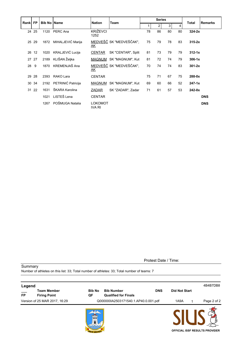|         |                   |                    |                         |                                 |                         | <b>Series</b> |                |    |    |              |                |
|---------|-------------------|--------------------|-------------------------|---------------------------------|-------------------------|---------------|----------------|----|----|--------------|----------------|
| Rank FP |                   | <b>Bib No Name</b> |                         | <b>Nation</b>                   | Team                    |               | $\overline{2}$ | 3  | 4  | <b>Total</b> | <b>Remarks</b> |
|         | 24 25             | 1120               | PERC Ana                | <b>KRIŽEVCI</b><br>1252         |                         | 78            | 86             | 80 | 80 | $324-2x$     |                |
| 25      | 29                | 1872               | MIHALJEVIĆ Marija       | AK                              | MEDVEŠČ SK "MEDVEŠČAK", | 75            | 79             | 78 | 83 | $315-2x$     |                |
| 26      | $12 \overline{ }$ | 1020               | KRALJEVIĆ Lucija        | <b>CENTAR</b>                   | SK "CENTAR", Split      | 81            | 73             | 79 | 79 | $312 - 1x$   |                |
| 27      | 27                | 2189               | KLIŠAN Željka           |                                 | MAGNUM SK "MAGNUM", Kut | 81            | 72             | 74 | 79 | $306-1x$     |                |
| 28      | 9                 | 1870               | KREMENJAŠ Ana           | <u>AK</u>                       | MEDVEŠČ SK "MEDVEŠČAK", | 70            | 74             | 74 | 83 | $301 - 2x$   |                |
| 29      | 28                | 2393               | RAKO Lara               | <b>CENTAR</b>                   |                         | 75            | 71             | 67 | 75 | $288 - 0x$   |                |
|         | 30 34             |                    | 2192 PETRINIĆ Patricija | MAGNUM                          | SK "MAGNUM", Kut        | 69            | 60             | 66 | 52 | $247 - 1x$   |                |
|         | 31 22             | 1631               | ŠKARA Karolina          | ZADAR                           | SK "ZADAR", Zadar       | 71            | 61             | 57 | 53 | $242 - 0x$   |                |
|         |                   | 1021               | LISTEŠ Lena             | <b>CENTAR</b>                   |                         |               |                |    |    |              | <b>DNS</b>     |
|         |                   | 1267               | POŠMUGA Natalia         | <b>LOKOMOT</b><br><b>IVA RI</b> |                         |               |                |    |    |              | <b>DNS</b>     |

Protest Date / Time:

**Summary** 

Number of athletes on this list: 33; Total number of athletes: 33; Total number of teams: 7

| Legend    |                                           |                        |                                                                |                      | 4B4B7DB8                              |
|-----------|-------------------------------------------|------------------------|----------------------------------------------------------------|----------------------|---------------------------------------|
| <b>FP</b> | <b>Team Member</b><br><b>Firing Point</b> | <b>Bib No</b><br>QF    | <b>DNS</b><br><b>Bib Number</b><br><b>Qualified for Finals</b> | <b>Did Not Start</b> |                                       |
|           | Version of 25 MAR 2017, 16:29             |                        | Q000000IA2503171540.1.AP40.0.001.pdf                           | 1A9A                 | Page 2 of 2                           |
|           |                                           | <b>UNITURN</b><br>1999 |                                                                |                      | <b>OFFICIAL ISSF RESULTS PROVIDER</b> |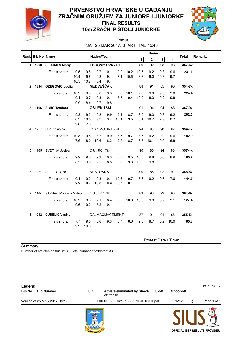

#### **10m ZRAČNI PIŠTOLJ JUNIORKE PRVENSTVO HRVATSKE U GAĐANJU ZRAČNIM ORUŽJEM ZA JUNIORE I JUNIORKE FINAL RESULTS**



SAT 25 MAR 2017, START TIME 15:40 Opatija

| Rank         | <b>Bib No Name</b>   |                              |      |      | Nation/Team      |                        |      |      |              | <b>Series</b>  |              |                         | <b>Total</b> | <b>Remarks</b> |
|--------------|----------------------|------------------------------|------|------|------------------|------------------------|------|------|--------------|----------------|--------------|-------------------------|--------------|----------------|
|              |                      |                              |      |      |                  |                        |      |      | $\mathbf{1}$ | $\overline{2}$ | $\mathbf{3}$ | $\overline{\mathbf{4}}$ |              |                |
|              | 1 1268               | <b>SILADJEV Marija</b>       |      |      |                  | <b>LOKOMOTIVA - RI</b> |      |      | 89           | 92             | 93           | 93                      | 367-6x       |                |
|              |                      | Finals shots:                | 9.5  | 9.5  | 9.7              | 10.1                   | 9.0  | 10.2 | 10.5         | 9.2            | 9.3          | 9.6                     | 231.1        |                |
|              |                      |                              | 10.4 | 9.8  | 9.2              | 9.1                    | 8.1  | 10.6 | 8.8          | 9.0            | 10.8         | 9.7                     |              |                |
|              |                      |                              | 10.5 | 10.7 | 8.4              | 9.4                    |      |      |              |                |              |                         |              |                |
| $\mathbf{2}$ |                      | 1884 OŽEGOVIĆ Lucija         |      |      | <b>MEDVEŠČAK</b> |                        |      |      | 88           | 91             | 85           | 90                      | $354 - 7x$   |                |
|              |                      | Finals shots:                | 10.2 | 9.9  | 8.6              | 9.3                    | 8.8  | 10.1 | 7.3          | 9.0            | 9.8          | 9.0                     | 224.4        |                |
|              |                      |                              | 9.1  | 9.7  | 9.3              | 10.1                   | 8.7  | 9.4  | 10.0         | 8.3            | 10.2         | 9.8                     |              |                |
|              |                      |                              | 9.9  | 8.4  | 9.7              | 9.8                    |      |      |              |                |              |                         |              |                |
|              |                      | 3 1166 ŠIMIĆ Teodora         |      |      | OSIJEK 1784      |                        |      |      | 91           | 94             | 94           | 88                      | $367 - 9x$   |                |
|              |                      | Finals shots:                | 9.3  | 9.3  | 9.2              | 9.9                    | 9.4  | 8.7  | 8.9          | 9.3            | 9.3          | 9.2                     | 202.3        |                |
|              |                      |                              | 8.3  | 10.5 | 9.2              | 9.7                    | 10.1 | 9.5  | 8.4          | 10.7           | 7.9          | 8.7                     |              |                |
|              |                      |                              | 9.0  | 7.8  |                  |                        |      |      |              |                |              |                         |              |                |
|              |                      | 4 1257 CIVIĆ Sabina          |      |      |                  | LOKOMOTIVA - RI        |      |      | 94           | 88             | 90           | 87                      | $359 - 4x$   |                |
|              |                      | Finals shots:                | 10.8 | 9.8  | 8.2              | 9.9                    | 8.5  | 9.7  | 8.7          | 9.2            | 10.0         | 9.6                     | 182.9        |                |
|              |                      |                              | 7.6  | 8.0  | 10.6             | 8.2                    | 9.7  | 8.7  | 8.7          | 10.1           | 10.0         | 6.9                     |              |                |
| 5            |                      | 1165 SVETINA Josipa          |      |      | OSIJEK 1784      |                        |      |      | 90           | 85             | 94           | 88                      | $357 - 4x$   |                |
|              |                      | Finals shots:                | 9.9  | 9.0  | 9.3              | 10.3                   | 8.3  | 9.5  | 10.5         | 9.8            | 5.6          | 8.9                     | 165.7        |                |
|              |                      |                              | 8.5  | 9.9  | 9.5              | 8.5                    | 8.8  | 9.3  | 10.3         | 9.8            |              |                         |              |                |
|              |                      |                              |      |      |                  |                        |      |      |              |                |              |                         |              |                |
| 6            |                      | 1221 SEIFERT Gea             |      |      | <b>KUSTOŠIJA</b> |                        |      |      | 90           | 85             | 92           | 91                      | $358 - 8x$   |                |
|              |                      | Finals shots:                | 9.1  | 9.3  |                  | 9.3 10.1               | 10.6 | 9.7  | 7.6          | 9.2            | 9.6          | 7.6                     | 144.7        |                |
|              |                      |                              | 9.9  | 8.7  | 10.0             | 8.9                    | 6.7  | 8.4  |              |                |              |                         |              |                |
|              |                      | 7 1164 ŠTRBAC Marijana Matea |      |      | OSIJEK 1784      |                        |      |      | 83           | 96             | 92           | 93                      | 364-6x       |                |
|              |                      | Finals shots:                | 10.2 | 9.3  | 7.1              | 8.4                    | 8.9  | 10.6 | 10.5         | 9.3            | 8.9          | 9.1                     | 127.4        |                |
|              |                      |                              | 9.6  | 9.2  | 7.2              | 9.1                    |      |      |              |                |              |                         |              |                |
|              |                      |                              |      |      |                  |                        |      |      |              |                |              |                         |              |                |
| 8            |                      | 1032 ČUBELIĆ Vladka          |      |      |                  | DALMACIJACEMENT        |      |      | 87           | 91             | 91           | 86                      | $355 - 5x$   |                |
|              |                      | Finals shots:                | 7.7  | 9.5  | 8.6              | 9.3                    | 8.7  | 8.6  | 9.0          | 8.7            | 5.2          | 10.0                    | 105.8        |                |
|              |                      |                              | 9.9  | 10.6 |                  |                        |      |      |              |                |              |                         |              |                |
|              |                      |                              |      |      |                  |                        |      |      |              |                |              |                         |              |                |
|              | Protest Date / Time: |                              |      |      |                  |                        |      |      |              |                |              |                         |              |                |

**Summary** 

Number of athletes on this list: 8; Total number of athletes: 33

| Legend        |                               |           |                                             |       |           |   | 5C6E64EC                              |
|---------------|-------------------------------|-----------|---------------------------------------------|-------|-----------|---|---------------------------------------|
| <b>Bib No</b> | <b>Bib Number</b>             | <b>SO</b> | Athlete eliminated by Shoot-<br>off for tie | S-off | Shoot-off |   |                                       |
|               | Version of 25 MAR 2017, 19:17 |           | F000000IA2503171825.1.AP40.0.001.pdf        |       | 1A9A      | 5 | Page 1 of 1                           |
|               |                               | 1999      |                                             |       |           |   | <b>OFFICIAL ISSF RESULTS PROVIDER</b> |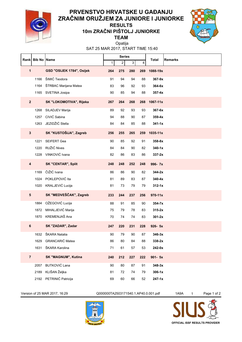

#### **10m ZRAČNI PIŠTOLJ JUNIORKE RESULTS**



**TEAM** Opatija

SAT 25 MAR 2017, START TIME 15:40

| Rank                    |      | <b>Bib No Name</b>         |              | <b>Series</b>  |     |     | <b>Total</b> | <b>Remarks</b> |
|-------------------------|------|----------------------------|--------------|----------------|-----|-----|--------------|----------------|
|                         |      |                            | $\mathbf{1}$ | $\overline{2}$ | 3   | 4   |              |                |
| $\mathbf{1}$            |      | GSD "OSIJEK 1784", Osijek  | 264          | 275            | 280 | 269 | 1088-19x     |                |
|                         | 1166 | ŠIMIĆ Teodora              | 91           | 94             | 94  | 88  | 367-9x       |                |
|                         | 1164 | ŠTRBAC Marijana Matea      | 83           | 96             | 92  | 93  | 364-6x       |                |
|                         |      | 1165 SVETINA Josipa        | 90           | 85             | 94  | 88  | $357 - 4x$   |                |
| $\overline{\mathbf{2}}$ |      | SK "LOKOMOTIVA", Rijeka    | 267          | 264            | 268 | 268 | 1067-11x     |                |
|                         | 1268 | SILADJEV Marija            | 89           | 92             | 93  | 93  | 367-6x       |                |
|                         | 1257 | CIVIĆ Sabina               | 94           | 88             | 90  | 87  | $359 - 4x$   |                |
|                         | 1263 | JEZIDŽIĆ Stella            | 84           | 84             | 85  | 88  | $341 - 1x$   |                |
| $\mathbf{3}$            |      | SK "KUSTOŠIJA", Zagreb     | 256          | 255            | 265 | 259 | 1035-11x     |                |
|                         | 1221 | <b>SEIFERT Gea</b>         | 90           | 85             | 92  | 91  | 358-8x       |                |
|                         | 1220 | RUŽIĆ Nives                | 84           | 84             | 90  | 82  | $340 - 1x$   |                |
|                         | 1228 | VINKOVIĆ Ivana             | 82           | 86             | 83  | 86  | $337-2x$     |                |
| $\overline{\mathbf{4}}$ |      | <b>SK "CENTAR", Split</b>  | 248          | 248            | 252 | 248 | 996-7x       |                |
|                         | 1169 | ČIŽIĆ Ivana                | 86           | 86             | 90  | 82  | $344-2x$     |                |
|                         | 1024 | POKLEPOVIĆ Ita             | 81           | 89             | 83  | 87  | $340 - 4x$   |                |
|                         |      | 1020 KRALJEVIĆ Lucija      | 81           | 73             | 79  | 79  | $312 - 1x$   |                |
| 5                       |      | SK "MEDVEŠČAK", Zagreb     | 233          | 244            | 237 | 256 | 970-11x      |                |
|                         | 1884 | OŽEGOVIĆ Lucija            | 88           | 91             | 85  | 90  | $354 - 7x$   |                |
|                         | 1872 | MIHALJEVIĆ Marija          | 75           | 79             | 78  | 83  | $315-2x$     |                |
|                         |      | 1870 KREMENJAŠ Ana         | 70           | 74             | 74  | 83  | $301 - 2x$   |                |
| 6                       |      | SK "ZADAR", Zadar          | 247          | 220            | 231 | 228 | 926-5x       |                |
|                         | 1632 | ŠKARA Natalia              | 90           | 79             | 90  | 87  | $346-3x$     |                |
|                         | 1629 | GRANCARIĆ Matea            | 86           | 80             | 84  | 88  | 338-2x       |                |
|                         | 1631 | ŠKARA Karolina             | 71           | 61             | 57  | 53  | 242-0x       |                |
| $\overline{7}$          |      | <b>SK "MAGNUM", Kutina</b> | 240          | 212            | 227 | 222 | $901 - 5x$   |                |
|                         | 2057 | <b>BUTKOVIĆ Lana</b>       | 90           | 80             | 87  | 91  | $348-3x$     |                |
|                         | 2189 | KLIŠAN Željka              | 81           | 72             | 74  | 79  | $306-1x$     |                |
|                         | 2192 | PETRINIĆ Patricija         | 69           | 60             | 66  | 52  | $247 - 1x$   |                |

Version of 25 MAR 2017, 16:29 Q000000TA2503171540.1.AP40.0.001.pdf 1A9A 1 Page 1 of 2